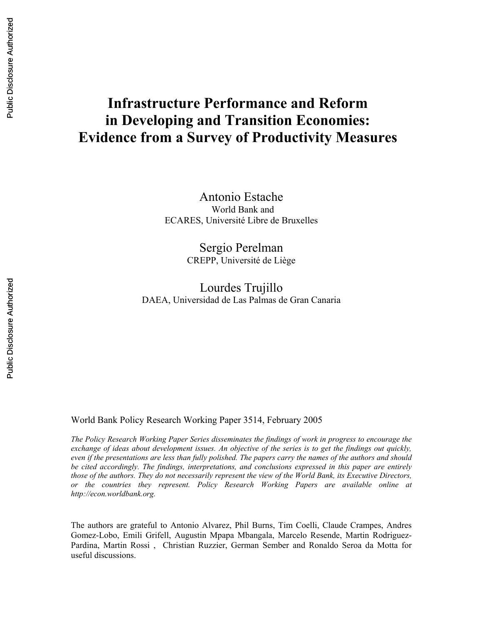# **Infrastructure Performance and Reform in Developing and Transition Economies: Evidence from a Survey of Productivity Measures**

Antonio Estache World Bank and ECARES, Université Libre de Bruxelles

> Sergio Perelman CREPP, Université de Liège

Lourdes Trujillo DAEA, Universidad de Las Palmas de Gran Canaria

World Bank Policy Research Working Paper 3514, February 2005

*The Policy Research Working Paper Series disseminates the findings of work in progress to encourage the exchange of ideas about development issues. An objective of the series is to get the findings out quickly, even if the presentations are less than fully polished. The papers carry the names of the authors and should be cited accordingly. The findings, interpretations, and conclusions expressed in this paper are entirely those of the authors. They do not necessarily represent the view of the World Bank, its Executive Directors, or the countries they represent. Policy Research Working Papers are available online at http://econ.worldbank.org.* 

The authors are grateful to Antonio Alvarez, Phil Burns, Tim Coelli, Claude Crampes, Andres Gomez-Lobo, Emili Grifell, Augustin Mpapa Mbangala, Marcelo Resende, Martin Rodriguez-Pardina, Martin Rossi , Christian Ruzzier, German Sember and Ronaldo Seroa da Motta for useful discussions.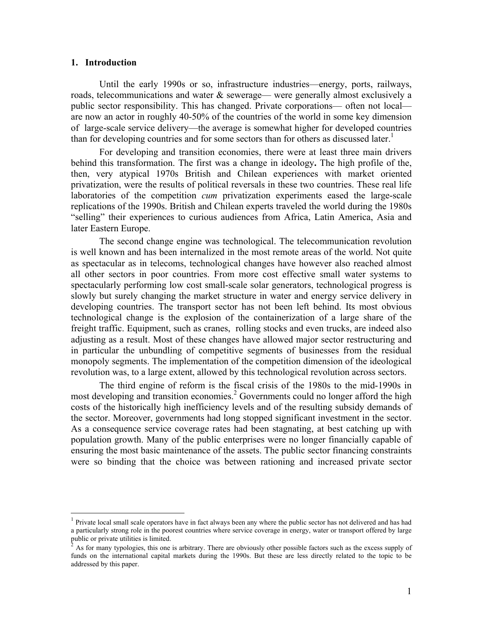## **1. Introduction**

<u>.</u>

Until the early 1990s or so, infrastructure industries—energy, ports, railways, roads, telecommunications and water & sewerage— were generally almost exclusively a public sector responsibility. This has changed. Private corporations— often not local are now an actor in roughly 40-50% of the countries of the world in some key dimension of large-scale service delivery—the average is somewhat higher for developed countries than for developing countries and for some sectors than for others as discussed later.<sup>1</sup>

For developing and transition economies, there were at least three main drivers behind this transformation. The first was a change in ideology**.** The high profile of the, then, very atypical 1970s British and Chilean experiences with market oriented privatization, were the results of political reversals in these two countries. These real life laboratories of the competition *cum* privatization experiments eased the large-scale replications of the 1990s. British and Chilean experts traveled the world during the 1980s "selling" their experiences to curious audiences from Africa, Latin America, Asia and later Eastern Europe.

The second change engine was technological. The telecommunication revolution is well known and has been internalized in the most remote areas of the world. Not quite as spectacular as in telecoms, technological changes have however also reached almost all other sectors in poor countries. From more cost effective small water systems to spectacularly performing low cost small-scale solar generators, technological progress is slowly but surely changing the market structure in water and energy service delivery in developing countries. The transport sector has not been left behind. Its most obvious technological change is the explosion of the containerization of a large share of the freight traffic. Equipment, such as cranes, rolling stocks and even trucks, are indeed also adjusting as a result. Most of these changes have allowed major sector restructuring and in particular the unbundling of competitive segments of businesses from the residual monopoly segments. The implementation of the competition dimension of the ideological revolution was, to a large extent, allowed by this technological revolution across sectors.

The third engine of reform is the fiscal crisis of the 1980s to the mid-1990s in most developing and transition economies.<sup>2</sup> Governments could no longer afford the high costs of the historically high inefficiency levels and of the resulting subsidy demands of the sector. Moreover, governments had long stopped significant investment in the sector. As a consequence service coverage rates had been stagnating, at best catching up with population growth. Many of the public enterprises were no longer financially capable of ensuring the most basic maintenance of the assets. The public sector financing constraints were so binding that the choice was between rationing and increased private sector

<sup>&</sup>lt;sup>1</sup> Private local small scale operators have in fact always been any where the public sector has not delivered and has had a particularly strong role in the poorest countries where service coverage in energy, water or transport offered by large public or private utilities is limited.

<sup>2</sup> As for many typologies, this one is arbitrary. There are obviously other possible factors such as the excess supply of funds on the international capital markets during the 1990s. But these are less directly related to the topic to be addressed by this paper.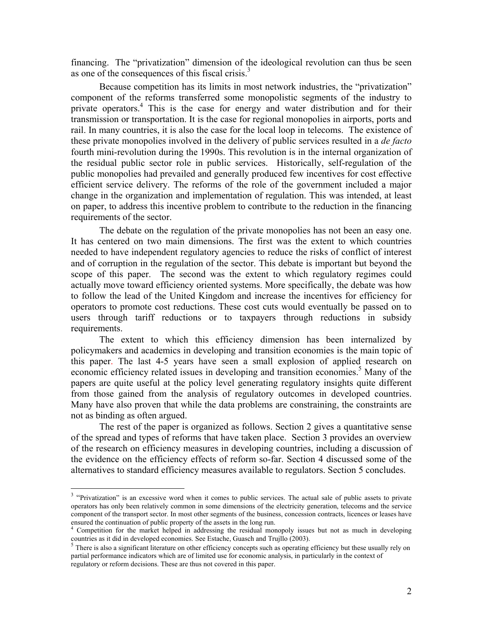financing. The "privatization" dimension of the ideological revolution can thus be seen as one of the consequences of this fiscal crisis.<sup>3</sup>

Because competition has its limits in most network industries, the "privatization" component of the reforms transferred some monopolistic segments of the industry to private operators.4 This is the case for energy and water distribution and for their transmission or transportation. It is the case for regional monopolies in airports, ports and rail. In many countries, it is also the case for the local loop in telecoms. The existence of these private monopolies involved in the delivery of public services resulted in a *de facto*  fourth mini-revolution during the 1990s. This revolution is in the internal organization of the residual public sector role in public services. Historically, self-regulation of the public monopolies had prevailed and generally produced few incentives for cost effective efficient service delivery. The reforms of the role of the government included a major change in the organization and implementation of regulation. This was intended, at least on paper, to address this incentive problem to contribute to the reduction in the financing requirements of the sector.

The debate on the regulation of the private monopolies has not been an easy one. It has centered on two main dimensions. The first was the extent to which countries needed to have independent regulatory agencies to reduce the risks of conflict of interest and of corruption in the regulation of the sector. This debate is important but beyond the scope of this paper. The second was the extent to which regulatory regimes could actually move toward efficiency oriented systems. More specifically, the debate was how to follow the lead of the United Kingdom and increase the incentives for efficiency for operators to promote cost reductions. These cost cuts would eventually be passed on to users through tariff reductions or to taxpayers through reductions in subsidy requirements.

The extent to which this efficiency dimension has been internalized by policymakers and academics in developing and transition economies is the main topic of this paper. The last 4-5 years have seen a small explosion of applied research on economic efficiency related issues in developing and transition economies.<sup>5</sup> Many of the papers are quite useful at the policy level generating regulatory insights quite different from those gained from the analysis of regulatory outcomes in developed countries. Many have also proven that while the data problems are constraining, the constraints are not as binding as often argued.

The rest of the paper is organized as follows. Section 2 gives a quantitative sense of the spread and types of reforms that have taken place. Section 3 provides an overview of the research on efficiency measures in developing countries, including a discussion of the evidence on the efficiency effects of reform so-far. Section 4 discussed some of the alternatives to standard efficiency measures available to regulators. Section 5 concludes.

<sup>&</sup>lt;sup>3</sup> "Privatization" is an excessive word when it comes to public services. The actual sale of public assets to private operators has only been relatively common in some dimensions of the electricity generation, telecoms and the service component of the transport sector. In most other segments of the business, concession contracts, licences or leases have ensured the continuation of public property of the assets in the long run.<br><sup>4</sup> Competition for the market helped in addressing the residual monopoly issues but not as much in developing

countries as it did in developed economies. See Estache, Guasch and Trujllo (2003). 5 There is also a significant literature on other efficiency concepts such as operating efficiency but these usually rely on

partial performance indicators which are of limited use for economic analysis, in particularly in the context of regulatory or reform decisions. These are thus not covered in this paper.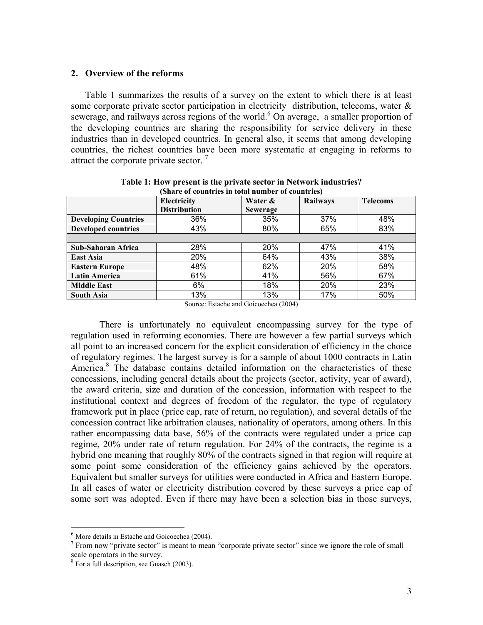## **2. Overview of the reforms**

Table 1 summarizes the results of a survey on the extent to which there is at least some corporate private sector participation in electricity distribution, telecoms, water & sewerage, and railways across regions of the world.<sup>6</sup> On average, a smaller proportion of the developing countries are sharing the responsibility for service delivery in these industries than in developed countries. In general also, it seems that among developing countries, the richest countries have been more systematic at engaging in reforms to attract the corporate private sector.  $\frac{7}{1}$ 

| (Share of countries in total number of countries) |                     |                 |                 |                 |  |
|---------------------------------------------------|---------------------|-----------------|-----------------|-----------------|--|
|                                                   | Electricity         | Water &         | <b>Railways</b> | <b>Telecoms</b> |  |
|                                                   | <b>Distribution</b> | <b>Sewerage</b> |                 |                 |  |
| <b>Developing Countries</b>                       | 36%                 | 35%             | 37%             | 48%             |  |
| <b>Developed countries</b>                        | 43%                 | 80%             | 65%             | 83%             |  |
|                                                   |                     |                 |                 |                 |  |
| Sub-Saharan Africa                                | 28%                 | 20%             | 47%             | 41%             |  |
| <b>East Asia</b>                                  | 20%                 | 64%             | 43%             | 38%             |  |
| <b>Eastern Europe</b>                             | 48%                 | 62%             | 20%             | 58%             |  |
| <b>Latin America</b>                              | 61%                 | 41%             | 56%             | 67%             |  |
| <b>Middle East</b>                                | 6%                  | 18%             | 20%             | 23%             |  |
| <b>South Asia</b>                                 | 13%                 | 13%             | 17%             | 50%             |  |

**Table 1: How present is the private sector in Network industries?** 

Source: Estache and Goicoechea (2004)

There is unfortunately no equivalent encompassing survey for the type of regulation used in reforming economies. There are however a few partial surveys which all point to an increased concern for the explicit consideration of efficiency in the choice of regulatory regimes. The largest survey is for a sample of about 1000 contracts in Latin America.<sup>8</sup> The database contains detailed information on the characteristics of these concessions, including general details about the projects (sector, activity, year of award), the award criteria, size and duration of the concession, information with respect to the institutional context and degrees of freedom of the regulator, the type of regulatory framework put in place (price cap, rate of return, no regulation), and several details of the concession contract like arbitration clauses, nationality of operators, among others. In this rather encompassing data base, 56% of the contracts were regulated under a price cap regime, 20% under rate of return regulation. For 24% of the contracts, the regime is a hybrid one meaning that roughly 80% of the contracts signed in that region will require at some point some consideration of the efficiency gains achieved by the operators. Equivalent but smaller surveys for utilities were conducted in Africa and Eastern Europe. In all cases of water or electricity distribution covered by these surveys a price cap of some sort was adopted. Even if there may have been a selection bias in those surveys,

 $\overline{a}$ 

 $<sup>6</sup>$  More details in Estache and Goicoechea (2004).</sup>

 $<sup>7</sup>$  From now "private sector" is meant to mean "corporate private sector" since we ignore the role of small</sup> scale operators in the survey.

<sup>8</sup> For a full description, see Guasch (2003).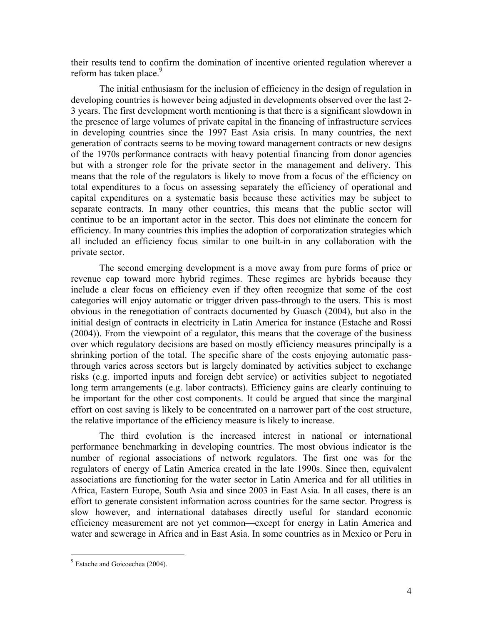their results tend to confirm the domination of incentive oriented regulation wherever a reform has taken place.<sup>9</sup>

The initial enthusiasm for the inclusion of efficiency in the design of regulation in developing countries is however being adjusted in developments observed over the last 2- 3 years. The first development worth mentioning is that there is a significant slowdown in the presence of large volumes of private capital in the financing of infrastructure services in developing countries since the 1997 East Asia crisis. In many countries, the next generation of contracts seems to be moving toward management contracts or new designs of the 1970s performance contracts with heavy potential financing from donor agencies but with a stronger role for the private sector in the management and delivery. This means that the role of the regulators is likely to move from a focus of the efficiency on total expenditures to a focus on assessing separately the efficiency of operational and capital expenditures on a systematic basis because these activities may be subject to separate contracts. In many other countries, this means that the public sector will continue to be an important actor in the sector. This does not eliminate the concern for efficiency. In many countries this implies the adoption of corporatization strategies which all included an efficiency focus similar to one built-in in any collaboration with the private sector.

The second emerging development is a move away from pure forms of price or revenue cap toward more hybrid regimes. These regimes are hybrids because they include a clear focus on efficiency even if they often recognize that some of the cost categories will enjoy automatic or trigger driven pass-through to the users. This is most obvious in the renegotiation of contracts documented by Guasch (2004), but also in the initial design of contracts in electricity in Latin America for instance (Estache and Rossi (2004)). From the viewpoint of a regulator, this means that the coverage of the business over which regulatory decisions are based on mostly efficiency measures principally is a shrinking portion of the total. The specific share of the costs enjoying automatic passthrough varies across sectors but is largely dominated by activities subject to exchange risks (e.g. imported inputs and foreign debt service) or activities subject to negotiated long term arrangements (e.g. labor contracts). Efficiency gains are clearly continuing to be important for the other cost components. It could be argued that since the marginal effort on cost saving is likely to be concentrated on a narrower part of the cost structure, the relative importance of the efficiency measure is likely to increase.

 The third evolution is the increased interest in national or international performance benchmarking in developing countries. The most obvious indicator is the number of regional associations of network regulators. The first one was for the regulators of energy of Latin America created in the late 1990s. Since then, equivalent associations are functioning for the water sector in Latin America and for all utilities in Africa, Eastern Europe, South Asia and since 2003 in East Asia. In all cases, there is an effort to generate consistent information across countries for the same sector. Progress is slow however, and international databases directly useful for standard economic efficiency measurement are not yet common—except for energy in Latin America and water and sewerage in Africa and in East Asia. In some countries as in Mexico or Peru in

<u>.</u>

 $9$  Estache and Goicoechea (2004).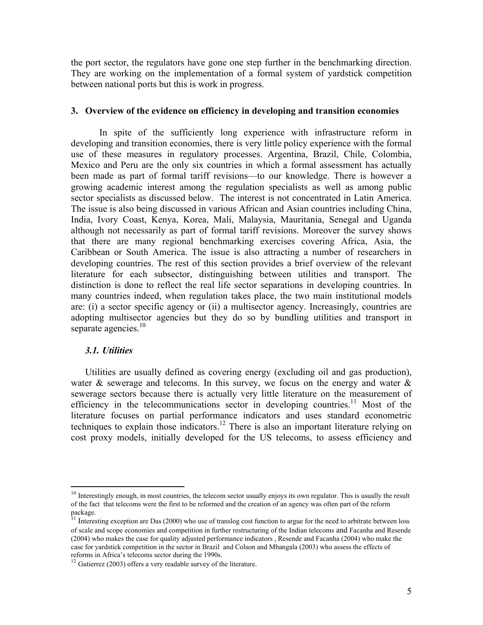the port sector, the regulators have gone one step further in the benchmarking direction. They are working on the implementation of a formal system of yardstick competition between national ports but this is work in progress.

#### **3. Overview of the evidence on efficiency in developing and transition economies**

In spite of the sufficiently long experience with infrastructure reform in developing and transition economies, there is very little policy experience with the formal use of these measures in regulatory processes. Argentina, Brazil, Chile, Colombia, Mexico and Peru are the only six countries in which a formal assessment has actually been made as part of formal tariff revisions—to our knowledge. There is however a growing academic interest among the regulation specialists as well as among public sector specialists as discussed below. The interest is not concentrated in Latin America. The issue is also being discussed in various African and Asian countries including China, India, Ivory Coast, Kenya, Korea, Mali, Malaysia, Mauritania, Senegal and Uganda although not necessarily as part of formal tariff revisions. Moreover the survey shows that there are many regional benchmarking exercises covering Africa, Asia, the Caribbean or South America. The issue is also attracting a number of researchers in developing countries. The rest of this section provides a brief overview of the relevant literature for each subsector, distinguishing between utilities and transport. The distinction is done to reflect the real life sector separations in developing countries. In many countries indeed, when regulation takes place, the two main institutional models are: (i) a sector specific agency or (ii) a multisector agency. Increasingly, countries are adopting multisector agencies but they do so by bundling utilities and transport in separate agencies. $10<sup>10</sup>$ 

#### *3.1. Utilities*

 $\overline{a}$ 

Utilities are usually defined as covering energy (excluding oil and gas production), water  $\&$  sewerage and telecoms. In this survey, we focus on the energy and water  $\&$ sewerage sectors because there is actually very little literature on the measurement of efficiency in the telecommunications sector in developing countries.<sup>11</sup> Most of the literature focuses on partial performance indicators and uses standard econometric techniques to explain those indicators.<sup>12</sup> There is also an important literature relying on cost proxy models, initially developed for the US telecoms, to assess efficiency and

 $10$  Interestingly enough, in most countries, the telecom sector usually enjoys its own regulator. This is usually the result of the fact that telecoms were the first to be reformed and the creation of an agency was often part of the reform package.

 $11$  Interesting exception are Das (2000) who use of translog cost function to argue for the need to arbitrate between loss of scale and scope economies and competition in further restructuring of the Indian telecoms and Facanha and Resende (2004) who makes the case for quality adjusted performance indicators , Resende and Facanha (2004) who make the case for yardstick competition in the sector in Brazil and Colson and Mbangala (2003) who assess the effects of

 $12$  Gutierrez (2003) offers a very readable survey of the literature.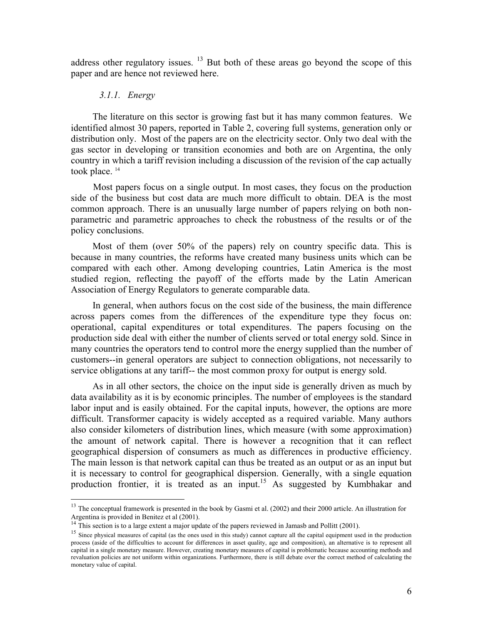address other regulatory issues. <sup>13</sup> But both of these areas go beyond the scope of this paper and are hence not reviewed here.

# *3.1.1. Energy*

 $\overline{a}$ 

The literature on this sector is growing fast but it has many common features. We identified almost 30 papers, reported in Table 2, covering full systems, generation only or distribution only. Most of the papers are on the electricity sector. Only two deal with the gas sector in developing or transition economies and both are on Argentina, the only country in which a tariff revision including a discussion of the revision of the cap actually took place.<sup>14</sup>

Most papers focus on a single output. In most cases, they focus on the production side of the business but cost data are much more difficult to obtain. DEA is the most common approach. There is an unusually large number of papers relying on both nonparametric and parametric approaches to check the robustness of the results or of the policy conclusions.

Most of them (over 50% of the papers) rely on country specific data. This is because in many countries, the reforms have created many business units which can be compared with each other. Among developing countries, Latin America is the most studied region, reflecting the payoff of the efforts made by the Latin American Association of Energy Regulators to generate comparable data.

In general, when authors focus on the cost side of the business, the main difference across papers comes from the differences of the expenditure type they focus on: operational, capital expenditures or total expenditures. The papers focusing on the production side deal with either the number of clients served or total energy sold. Since in many countries the operators tend to control more the energy supplied than the number of customers--in general operators are subject to connection obligations, not necessarily to service obligations at any tariff-- the most common proxy for output is energy sold.

As in all other sectors, the choice on the input side is generally driven as much by data availability as it is by economic principles. The number of employees is the standard labor input and is easily obtained. For the capital inputs, however, the options are more difficult. Transformer capacity is widely accepted as a required variable. Many authors also consider kilometers of distribution lines, which measure (with some approximation) the amount of network capital. There is however a recognition that it can reflect geographical dispersion of consumers as much as differences in productive efficiency. The main lesson is that network capital can thus be treated as an output or as an input but it is necessary to control for geographical dispersion. Generally, with a single equation production frontier, it is treated as an input.<sup>15</sup> As suggested by Kumbhakar and

<sup>&</sup>lt;sup>13</sup> The conceptual framework is presented in the book by Gasmi et al. (2002) and their 2000 article. An illustration for Argentina is provided in Benitez et al (2001).

<sup>&</sup>lt;sup>14</sup> This section is to a large extent a major update of the papers reviewed in Jamasb and Pollitt (2001).

<sup>&</sup>lt;sup>15</sup> Since physical measures of capital (as the ones used in this study) cannot capture all the capital equipment used in the production process (aside of the difficulties to account for differences in asset quality, age and composition), an alternative is to represent all capital in a single monetary measure. However, creating monetary measures of capital is problematic because accounting methods and revaluation policies are not uniform within organizations. Furthermore, there is still debate over the correct method of calculating the monetary value of capital.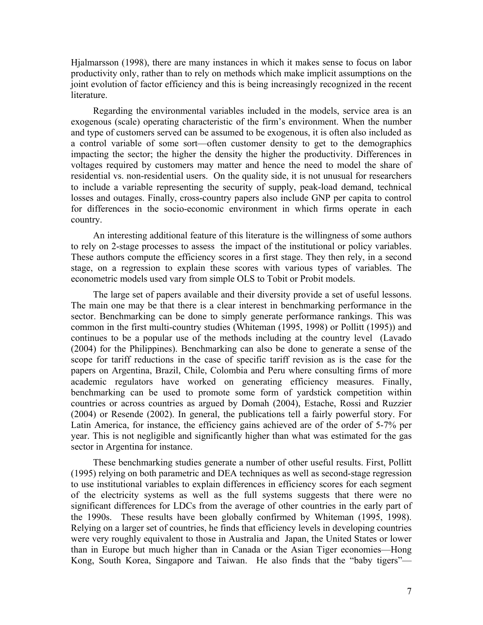Hjalmarsson (1998), there are many instances in which it makes sense to focus on labor productivity only, rather than to rely on methods which make implicit assumptions on the joint evolution of factor efficiency and this is being increasingly recognized in the recent literature.

Regarding the environmental variables included in the models, service area is an exogenous (scale) operating characteristic of the firm's environment. When the number and type of customers served can be assumed to be exogenous, it is often also included as a control variable of some sort—often customer density to get to the demographics impacting the sector; the higher the density the higher the productivity. Differences in voltages required by customers may matter and hence the need to model the share of residential vs. non-residential users. On the quality side, it is not unusual for researchers to include a variable representing the security of supply, peak-load demand, technical losses and outages. Finally, cross-country papers also include GNP per capita to control for differences in the socio-economic environment in which firms operate in each country.

An interesting additional feature of this literature is the willingness of some authors to rely on 2-stage processes to assess the impact of the institutional or policy variables. These authors compute the efficiency scores in a first stage. They then rely, in a second stage, on a regression to explain these scores with various types of variables. The econometric models used vary from simple OLS to Tobit or Probit models.

The large set of papers available and their diversity provide a set of useful lessons. The main one may be that there is a clear interest in benchmarking performance in the sector. Benchmarking can be done to simply generate performance rankings. This was common in the first multi-country studies (Whiteman (1995, 1998) or Pollitt (1995)) and continues to be a popular use of the methods including at the country level (Lavado (2004) for the Philippines). Benchmarking can also be done to generate a sense of the scope for tariff reductions in the case of specific tariff revision as is the case for the papers on Argentina, Brazil, Chile, Colombia and Peru where consulting firms of more academic regulators have worked on generating efficiency measures. Finally, benchmarking can be used to promote some form of yardstick competition within countries or across countries as argued by Domah (2004), Estache, Rossi and Ruzzier (2004) or Resende (2002). In general, the publications tell a fairly powerful story. For Latin America, for instance, the efficiency gains achieved are of the order of 5-7% per year. This is not negligible and significantly higher than what was estimated for the gas sector in Argentina for instance.

These benchmarking studies generate a number of other useful results. First, Pollitt (1995) relying on both parametric and DEA techniques as well as second-stage regression to use institutional variables to explain differences in efficiency scores for each segment of the electricity systems as well as the full systems suggests that there were no significant differences for LDCs from the average of other countries in the early part of the 1990s. These results have been globally confirmed by Whiteman (1995, 1998). Relying on a larger set of countries, he finds that efficiency levels in developing countries were very roughly equivalent to those in Australia and Japan, the United States or lower than in Europe but much higher than in Canada or the Asian Tiger economies—Hong Kong, South Korea, Singapore and Taiwan. He also finds that the "baby tigers"—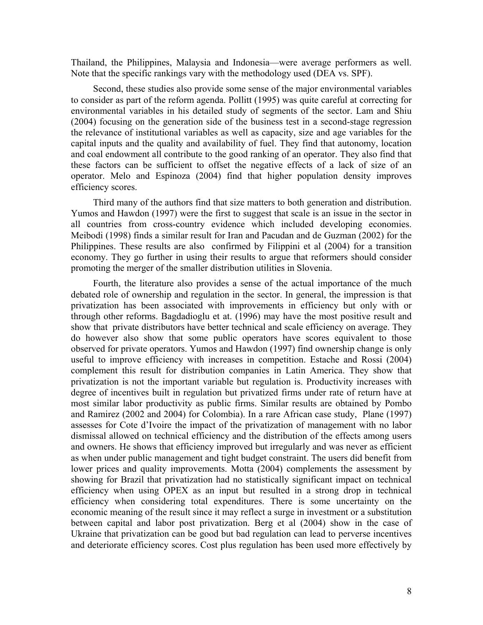Thailand, the Philippines, Malaysia and Indonesia—were average performers as well. Note that the specific rankings vary with the methodology used (DEA vs. SPF).

Second, these studies also provide some sense of the major environmental variables to consider as part of the reform agenda. Pollitt (1995) was quite careful at correcting for environmental variables in his detailed study of segments of the sector. Lam and Shiu (2004) focusing on the generation side of the business test in a second-stage regression the relevance of institutional variables as well as capacity, size and age variables for the capital inputs and the quality and availability of fuel. They find that autonomy, location and coal endowment all contribute to the good ranking of an operator. They also find that these factors can be sufficient to offset the negative effects of a lack of size of an operator. Melo and Espinoza (2004) find that higher population density improves efficiency scores.

Third many of the authors find that size matters to both generation and distribution. Yumos and Hawdon (1997) were the first to suggest that scale is an issue in the sector in all countries from cross-country evidence which included developing economies. Meibodi (1998) finds a similar result for Iran and Pacudan and de Guzman (2002) for the Philippines. These results are also confirmed by Filippini et al (2004) for a transition economy. They go further in using their results to argue that reformers should consider promoting the merger of the smaller distribution utilities in Slovenia.

Fourth, the literature also provides a sense of the actual importance of the much debated role of ownership and regulation in the sector. In general, the impression is that privatization has been associated with improvements in efficiency but only with or through other reforms. Bagdadioglu et at. (1996) may have the most positive result and show that private distributors have better technical and scale efficiency on average. They do however also show that some public operators have scores equivalent to those observed for private operators. Yumos and Hawdon (1997) find ownership change is only useful to improve efficiency with increases in competition. Estache and Rossi (2004) complement this result for distribution companies in Latin America. They show that privatization is not the important variable but regulation is. Productivity increases with degree of incentives built in regulation but privatized firms under rate of return have at most similar labor productivity as public firms. Similar results are obtained by Pombo and Ramirez (2002 and 2004) for Colombia). In a rare African case study, Plane (1997) assesses for Cote d'Ivoire the impact of the privatization of management with no labor dismissal allowed on technical efficiency and the distribution of the effects among users and owners. He shows that efficiency improved but irregularly and was never as efficient as when under public management and tight budget constraint. The users did benefit from lower prices and quality improvements. Motta (2004) complements the assessment by showing for Brazil that privatization had no statistically significant impact on technical efficiency when using OPEX as an input but resulted in a strong drop in technical efficiency when considering total expenditures. There is some uncertainty on the economic meaning of the result since it may reflect a surge in investment or a substitution between capital and labor post privatization. Berg et al (2004) show in the case of Ukraine that privatization can be good but bad regulation can lead to perverse incentives and deteriorate efficiency scores. Cost plus regulation has been used more effectively by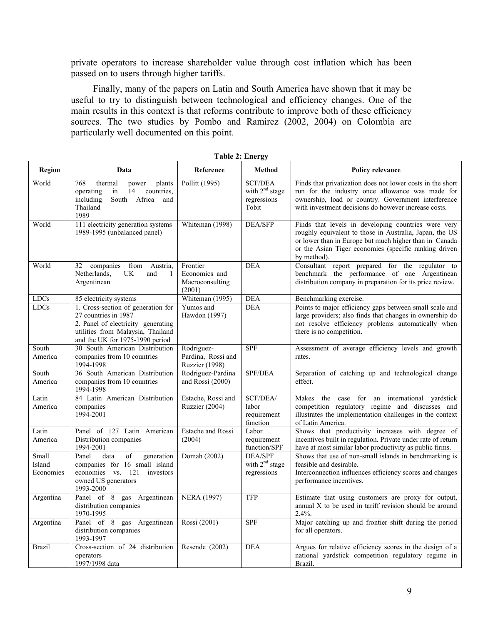private operators to increase shareholder value through cost inflation which has been passed on to users through higher tariffs.

Finally, many of the papers on Latin and South America have shown that it may be useful to try to distinguish between technological and efficiency changes. One of the main results in this context is that reforms contribute to improve both of these efficiency sources. The two studies by Pombo and Ramirez (2002, 2004) on Colombia are particularly well documented on this point.

|                              | Table 2: Ellergy                                                                                                                                                         |                                                           |                                                            |                                                                                                                                                                                                                                                  |  |
|------------------------------|--------------------------------------------------------------------------------------------------------------------------------------------------------------------------|-----------------------------------------------------------|------------------------------------------------------------|--------------------------------------------------------------------------------------------------------------------------------------------------------------------------------------------------------------------------------------------------|--|
| Region                       | Data                                                                                                                                                                     | Reference                                                 | Method                                                     | <b>Policy relevance</b>                                                                                                                                                                                                                          |  |
| World                        | 768<br>thermal<br>plants<br>power<br>operating<br>14<br>countries,<br>in<br>including<br>South Africa and<br>Thailand<br>1989                                            | Pollitt (1995)                                            | <b>SCF/DEA</b><br>with $2nd$ stage<br>regressions<br>Tobit | Finds that privatization does not lower costs in the short<br>run for the industry once allowance was made for<br>ownership, load or country. Government interference<br>with investment decisions do however increase costs.                    |  |
| World                        | 111 electricity generation systems<br>1989-1995 (unbalanced panel)                                                                                                       | Whiteman (1998)                                           | DEA/SFP                                                    | Finds that levels in developing countries were very<br>roughly equivalent to those in Australia, Japan, the US<br>or lower than in Europe but much higher than in Canada<br>or the Asian Tiger economies (specific ranking driven<br>by method). |  |
| World                        | 32 companies from Austria,<br>Netherlands,<br>UK.<br>and<br>1<br>Argentinean                                                                                             | Frontier<br>Economics and<br>Macroconsulting<br>(2001)    | <b>DEA</b>                                                 | Consultant report prepared for the regulator to<br>benchmark the performance of one Argentinean<br>distribution company in preparation for its price review.                                                                                     |  |
| <b>LDCs</b>                  | 85 electricity systems                                                                                                                                                   | Whiteman (1995)                                           | <b>DEA</b>                                                 | Benchmarking exercise.                                                                                                                                                                                                                           |  |
| <b>LDCs</b>                  | 1. Cross-section of generation for<br>27 countries in 1987<br>2. Panel of electricity generating<br>utilities from Malaysia, Thailand<br>and the UK for 1975-1990 period | Yumos and<br>Hawdon (1997)                                | <b>DEA</b>                                                 | Points to major efficiency gaps between small scale and<br>large providers; also finds that changes in ownership do<br>not resolve efficiency problems automatically when<br>there is no competition.                                            |  |
| South<br>America             | 30 South American Distribution<br>companies from 10 countries<br>1994-1998                                                                                               | Rodriguez-<br>Pardina, Rossi and<br><b>Ruzzier</b> (1998) | <b>SPF</b>                                                 | Assessment of average efficiency levels and growth<br>rates.                                                                                                                                                                                     |  |
| South<br>America             | 36 South American Distribution<br>companies from 10 countries<br>1994-1998                                                                                               | Rodriguez-Pardina<br>and Rossi $(2000)$                   | SPF/DEA                                                    | Separation of catching up and technological change<br>effect.                                                                                                                                                                                    |  |
| Latin<br>America             | 84 Latin American Distribution<br>companies<br>1994-2001                                                                                                                 | Estache, Rossi and<br>Ruzzier (2004)                      | SCF/DEA/<br>labor<br>requirement<br>function               | the case for an international yardstick<br>Makes<br>competition regulatory regime and discusses and<br>illustrates the implementation challenges in the context<br>of Latin America.                                                             |  |
| Latin<br>America             | Panel of 127 Latin American<br>Distribution companies<br>1994-2001                                                                                                       | Estache and Rossi<br>(2004)                               | Labor<br>requirement<br>function/SPF                       | Shows that productivity increases with degree of<br>incentives built in regulation. Private under rate of return<br>have at most similar labor productivity as public firms.                                                                     |  |
| Small<br>Island<br>Economies | $\overline{of}$<br>Panel<br>data<br>generation<br>companies for 16 small island<br>economies vs. 121<br>investors<br>owned US generators<br>1993-2000                    | Domah (2002)                                              | <b>DEA/SPF</b><br>with $2nd$ stage<br>regressions          | Shows that use of non-small islands in benchmarking is<br>feasible and desirable.<br>Interconnection influences efficiency scores and changes<br>performance incentives.                                                                         |  |
| Argentina                    | Panel of 8 gas Argentinean<br>distribution companies<br>1970-1995                                                                                                        | <b>NERA (1997)</b>                                        | <b>TFP</b>                                                 | Estimate that using customers are proxy for output,<br>annual X to be used in tariff revision should be around<br>2.4%.                                                                                                                          |  |
| Argentina                    | Panel of 8 gas Argentinean<br>distribution companies<br>1993-1997                                                                                                        | Rossi (2001)                                              | <b>SPF</b>                                                 | Major catching up and frontier shift during the period<br>for all operators.                                                                                                                                                                     |  |
| <b>Brazil</b>                | Cross-section of 24 distribution<br>operators<br>1997/1998 data                                                                                                          | Resende (2002)                                            | <b>DEA</b>                                                 | Argues for relative efficiency scores in the design of a<br>national yardstick competition regulatory regime in<br>Brazil.                                                                                                                       |  |

|  | <b>Table 2: Energy</b> |
|--|------------------------|
|  |                        |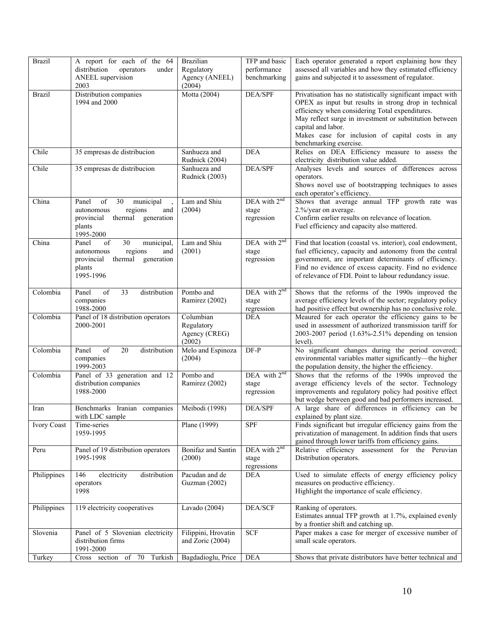| <b>Brazil</b>      | A report for each of the 64<br>distribution<br>operators<br>under<br>ANEEL supervision<br>2003                                | <b>Brazilian</b><br>Regulatory<br>Agency (ANEEL)<br>(2004) | TFP and basic<br>performance<br>benchmarking     | Each operator generated a report explaining how they<br>assessed all variables and how they estimated efficiency<br>gains and subjected it to assessment of regulator.                                                                                                                                                                |
|--------------------|-------------------------------------------------------------------------------------------------------------------------------|------------------------------------------------------------|--------------------------------------------------|---------------------------------------------------------------------------------------------------------------------------------------------------------------------------------------------------------------------------------------------------------------------------------------------------------------------------------------|
| <b>Brazil</b>      | Distribution companies<br>1994 and 2000                                                                                       | Motta (2004)                                               | DEA/SPF                                          | Privatisation has no statistically significant impact with<br>OPEX as input but results in strong drop in technical<br>efficiency when considering Total expenditures.<br>May reflect surge in investment or substitution between<br>capital and labor.<br>Makes case for inclusion of capital costs in any<br>benchmarking exercise. |
| Chile              | 35 empresas de distribucion                                                                                                   | Sanhueza and<br>Rudnick (2004)                             | <b>DEA</b>                                       | Relies on DEA Efficiency measure to assess the<br>electricity distribution value added.                                                                                                                                                                                                                                               |
| Chile              | 35 empresas de distribucion                                                                                                   | Sanhueza and<br>Rudnick (2003)                             | DEA/SPF                                          | Analyses levels and sources of differences across<br>operators.<br>Shows novel use of bootstrapping techniques to asses<br>each operator's efficiency.                                                                                                                                                                                |
| China              | Panel<br>of<br>30<br>municipal<br>regions<br>autonomous<br>and<br>provincial<br>thermal generation<br>plants<br>1995-2000     | Lam and Shiu<br>(2004)                                     | DEA with 2 <sup>nd</sup><br>stage<br>regression  | Shows that average annual TFP growth rate was<br>2.%/year on average.<br>Confirm earlier results on relevance of location.<br>Fuel efficiency and capacity also mattered.                                                                                                                                                             |
| China              | of<br>30<br>Panel<br>municipal,<br>regions<br>autonomous<br>and<br>provincial<br>generation<br>thermal<br>plants<br>1995-1996 | Lam and Shiu<br>(2001)                                     | DEA with $2^{nd}$<br>stage<br>regression         | Find that location (coastal vs. interior), coal endowment,<br>fuel efficiency, capacity and autonomy from the central<br>government, are important determinants of efficiency.<br>Find no evidence of excess capacity. Find no evidence<br>of relevance of FDI. Point to labour redundancy issue.                                     |
| Colombia           | 33<br>distribution<br>Panel<br>of<br>companies<br>1988-2000                                                                   | Pombo and<br>Ramirez (2002)                                | DEA with $2^{nd}$<br>stage<br>regression         | Shows that the reforms of the 1990s improved the<br>average efficiency levels of the sector; regulatory policy<br>had positive effect but ownership has no conclusive role.                                                                                                                                                           |
| Colombia           | Panel of 18 distribution operators<br>2000-2001                                                                               | Columbian<br>Regulatory<br>Agency (CREG)<br>(2002)         | <b>DEA</b>                                       | Meaured for each operator the efficiency gains to be<br>used in assessment of authorized transmission tariff for<br>2003-2007 period (1.63%-2.51% depending on tension<br>level).                                                                                                                                                     |
| Colombia           | of<br>Panel<br>20<br>distribution<br>companies<br>1999-2003                                                                   | Melo and Espinoza<br>(2004)                                | $DF-P$                                           | No significant changes during the period covered;<br>environmental variables matter significantly—the higher<br>the population density, the higher the efficiency.                                                                                                                                                                    |
| Colombia           | Panel of 33 generation and 12<br>distribution companies<br>1988-2000                                                          | Pombo and<br>Ramirez (2002)                                | $DEA$ with $2^{nd}$<br>stage<br>regression       | Shows that the reforms of the 1990s improved the<br>average efficiency levels of the sector. Technology<br>improvements and regulatory policy had positive effect<br>but wedge between good and bad performers increased.                                                                                                             |
| Iran               | Benchmarks Iranian companies   Meibodi (1998)<br>with LDC sample                                                              |                                                            | DEA/SPF                                          | A large share of differences in efficiency can be<br>explained by plant size.                                                                                                                                                                                                                                                         |
| <b>Ivory Coast</b> | Time-series<br>1959-1995                                                                                                      | Plane (1999)                                               | <b>SPF</b>                                       | Finds significant but irregular efficiency gains from the<br>privatization of management. In addition finds that users<br>gained through lower tariffs from efficiency gains.                                                                                                                                                         |
| Peru               | Panel of 19 distribution operators<br>1995-1998                                                                               | Bonifaz and Santin<br>(2000)                               | DEA with 2 <sup>nd</sup><br>stage<br>regressions | Relative efficiency assessment for the Peruvian<br>Distribution operators.                                                                                                                                                                                                                                                            |
| Philippines        | distribution<br>146<br>electricity<br>operators<br>1998                                                                       | Pacudan and de<br>Guzman (2002)                            | DEA                                              | Used to simulate effects of energy efficiency policy<br>measures on productive efficiency.<br>Highlight the importance of scale efficiency.                                                                                                                                                                                           |
| Philippines        | 119 electricity cooperatives                                                                                                  | Lavado (2004)                                              | DEA/SCF                                          | Ranking of operators.<br>Estimates annual TFP growth at 1.7%, explained evenly<br>by a frontier shift and catching up.                                                                                                                                                                                                                |
| Slovenia           | Panel of 5 Slovenian electricity<br>distribution firms<br>1991-2000                                                           | Filippini, Hrovatin<br>and Zoric (2004)                    | <b>SCF</b>                                       | Paper makes a case for merger of excessive number of<br>small scale operators.                                                                                                                                                                                                                                                        |
| Turkey             | Cross section of 70 Turkish                                                                                                   | Bagdadioglu, Price                                         | DEA                                              | Shows that private distributors have better technical and                                                                                                                                                                                                                                                                             |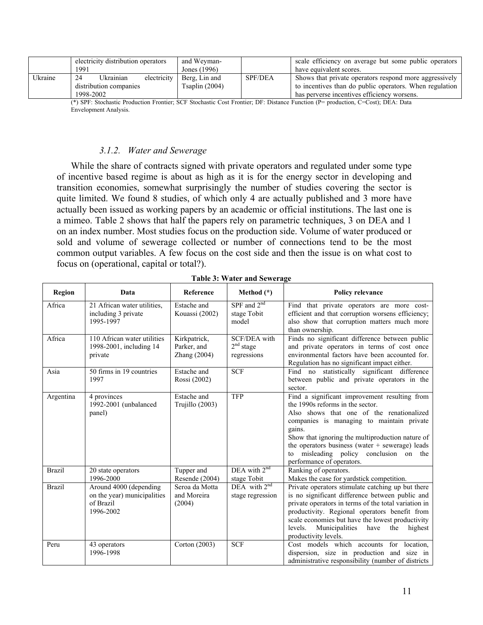|         | electricity distribution operators | and Weyman-    |                | scale efficiency on average but some public operators   |
|---------|------------------------------------|----------------|----------------|---------------------------------------------------------|
|         | 1991                               | Jones (1996)   |                | have equivalent scores.                                 |
| Ukraine | Ukrainian<br>24<br>electricity     | Berg, Lin and  | <b>SPF/DEA</b> | Shows that private operators respond more aggressively  |
|         | distribution companies             | Tsaplin (2004) |                | to incentives than do public operators. When regulation |
|         | 1998-2002                          |                |                | has perverse incentives efficiency worsens.             |

(\*) SPF: Stochastic Production Frontier; SCF Stochastic Cost Frontier; DF: Distance Function (P= production, C=Cost); DEA: Data Envelopment Analysis.

# *3.1.2. Water and Sewerage*

While the share of contracts signed with private operators and regulated under some type of incentive based regime is about as high as it is for the energy sector in developing and transition economies, somewhat surprisingly the number of studies covering the sector is quite limited. We found 8 studies, of which only 4 are actually published and 3 more have actually been issued as working papers by an academic or official institutions. The last one is a mimeo. Table 2 shows that half the papers rely on parametric techniques, 3 on DEA and 1 on an index number. Most studies focus on the production side. Volume of water produced or sold and volume of sewerage collected or number of connections tend to be the most common output variables. A few focus on the cost side and then the issue is on what cost to focus on (operational, capital or total?).

| Region        | Data                                                                            | Reference                                     | Method $(*)$                                                | <b>Policy relevance</b>                                                                                                                                                                                                                                                                                                                                               |
|---------------|---------------------------------------------------------------------------------|-----------------------------------------------|-------------------------------------------------------------|-----------------------------------------------------------------------------------------------------------------------------------------------------------------------------------------------------------------------------------------------------------------------------------------------------------------------------------------------------------------------|
| Africa        | 21 African water utilities.<br>including 3 private<br>1995-1997                 | Estache and<br>Kouassi (2002)                 | SPF and $2nd$<br>stage Tobit<br>model                       | Find that private operators are more cost-<br>efficient and that corruption worsens efficiency;<br>also show that corruption matters much more<br>than ownership.                                                                                                                                                                                                     |
| Africa        | 110 African water utilities<br>1998-2001, including 14<br>private               | Kirkpatrick,<br>Parker, and<br>Zhang $(2004)$ | <b>SCF/DEA</b> with<br>2 <sup>nd</sup> stage<br>regressions | Finds no significant difference between public<br>and private operators in terms of cost once<br>environmental factors have been accounted for.<br>Regulation has no significant impact either.                                                                                                                                                                       |
| Asia          | 50 firms in 19 countries<br>1997                                                | Estache and<br>Rossi (2002)                   | <b>SCF</b>                                                  | Find no statistically significant difference<br>between public and private operators in the<br>sector.                                                                                                                                                                                                                                                                |
| Argentina     | 4 provinces<br>1992-2001 (unbalanced<br>panel)                                  | Estache and<br>Trujillo (2003)                | <b>TFP</b>                                                  | Find a significant improvement resulting from<br>the 1990s reforms in the sector.<br>Also shows that one of the renationalized<br>companies is managing to maintain private<br>gains.<br>Show that ignoring the multiproduction nature of<br>the operators business (water $+$ sewerage) leads<br>to misleading policy conclusion on the<br>performance of operators. |
| <b>Brazil</b> | 20 state operators<br>1996-2000                                                 | Tupper and<br>Resende (2004)                  | DEA with 2 <sup>nd</sup><br>stage Tobit                     | Ranking of operators.<br>Makes the case for yardstick competition.                                                                                                                                                                                                                                                                                                    |
| <b>Brazil</b> | Around 4000 (depending<br>on the year) municipalities<br>of Brazil<br>1996-2002 | Seroa da Motta<br>and Moreira<br>(2004)       | DEA with $2nd$<br>stage regression                          | Private operators stimulate catching up but there<br>is no significant difference between public and<br>private operators in terms of the total variation in<br>productivity. Regional operators benefit from<br>scale economies but have the lowest productivity<br>levels.<br>Municipalities<br>have<br>the<br>highest<br>productivity levels.                      |
| Peru          | 43 operators<br>1996-1998                                                       | Corton $(2003)$                               | <b>SCF</b>                                                  | Cost models which accounts for location,<br>dispersion, size in production and size in<br>administrative responsibility (number of districts                                                                                                                                                                                                                          |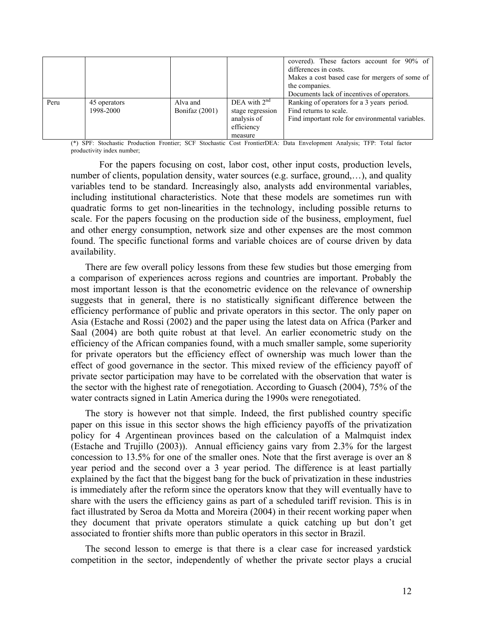|      |                           |                            |                                                                            | covered). These factors account for 90% of<br>differences in costs.<br>Makes a cost based case for mergers of some of<br>the companies.<br>Documents lack of incentives of operators. |
|------|---------------------------|----------------------------|----------------------------------------------------------------------------|---------------------------------------------------------------------------------------------------------------------------------------------------------------------------------------|
| Peru | 45 operators<br>1998-2000 | Alva and<br>Bonifaz (2001) | DEA with $2nd$<br>stage regression<br>analysis of<br>efficiency<br>measure | Ranking of operators for a 3 years period.<br>Find returns to scale.<br>Find important role for environmental variables.                                                              |

(\*) SPF: Stochastic Production Frontier; SCF Stochastic Cost FrontierDEA: Data Envelopment Analysis; TFP: Total factor productivity index number;

 For the papers focusing on cost, labor cost, other input costs, production levels, number of clients, population density, water sources (e.g. surface, ground,...), and quality variables tend to be standard. Increasingly also, analysts add environmental variables, including institutional characteristics. Note that these models are sometimes run with quadratic forms to get non-linearities in the technology, including possible returns to scale. For the papers focusing on the production side of the business, employment, fuel and other energy consumption, network size and other expenses are the most common found. The specific functional forms and variable choices are of course driven by data availability.

There are few overall policy lessons from these few studies but those emerging from a comparison of experiences across regions and countries are important. Probably the most important lesson is that the econometric evidence on the relevance of ownership suggests that in general, there is no statistically significant difference between the efficiency performance of public and private operators in this sector. The only paper on Asia (Estache and Rossi (2002) and the paper using the latest data on Africa (Parker and Saal (2004) are both quite robust at that level. An earlier econometric study on the efficiency of the African companies found, with a much smaller sample, some superiority for private operators but the efficiency effect of ownership was much lower than the effect of good governance in the sector. This mixed review of the efficiency payoff of private sector participation may have to be correlated with the observation that water is the sector with the highest rate of renegotiation. According to Guasch (2004), 75% of the water contracts signed in Latin America during the 1990s were renegotiated.

The story is however not that simple. Indeed, the first published country specific paper on this issue in this sector shows the high efficiency payoffs of the privatization policy for 4 Argentinean provinces based on the calculation of a Malmquist index (Estache and Trujillo (2003)). Annual efficiency gains vary from 2.3% for the largest concession to 13.5% for one of the smaller ones. Note that the first average is over an 8 year period and the second over a 3 year period. The difference is at least partially explained by the fact that the biggest bang for the buck of privatization in these industries is immediately after the reform since the operators know that they will eventually have to share with the users the efficiency gains as part of a scheduled tariff revision. This is in fact illustrated by Seroa da Motta and Moreira (2004) in their recent working paper when they document that private operators stimulate a quick catching up but don't get associated to frontier shifts more than public operators in this sector in Brazil.

The second lesson to emerge is that there is a clear case for increased yardstick competition in the sector, independently of whether the private sector plays a crucial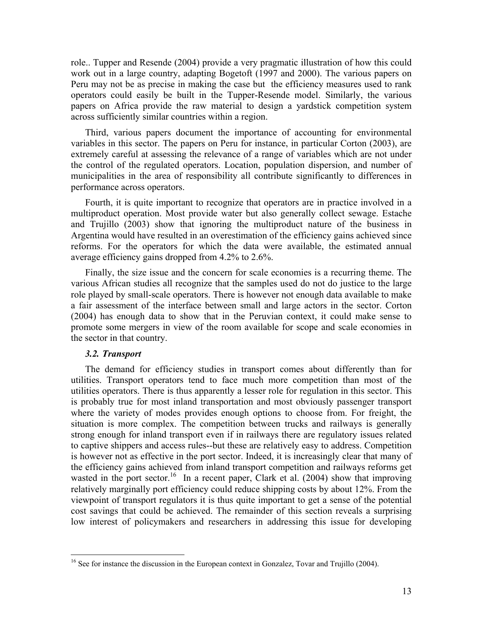role.. Tupper and Resende (2004) provide a very pragmatic illustration of how this could work out in a large country, adapting Bogetoft (1997 and 2000). The various papers on Peru may not be as precise in making the case but the efficiency measures used to rank operators could easily be built in the Tupper-Resende model. Similarly, the various papers on Africa provide the raw material to design a yardstick competition system across sufficiently similar countries within a region.

Third, various papers document the importance of accounting for environmental variables in this sector. The papers on Peru for instance, in particular Corton (2003), are extremely careful at assessing the relevance of a range of variables which are not under the control of the regulated operators. Location, population dispersion, and number of municipalities in the area of responsibility all contribute significantly to differences in performance across operators.

Fourth, it is quite important to recognize that operators are in practice involved in a multiproduct operation. Most provide water but also generally collect sewage. Estache and Trujillo (2003) show that ignoring the multiproduct nature of the business in Argentina would have resulted in an overestimation of the efficiency gains achieved since reforms. For the operators for which the data were available, the estimated annual average efficiency gains dropped from 4.2% to 2.6%.

Finally, the size issue and the concern for scale economies is a recurring theme. The various African studies all recognize that the samples used do not do justice to the large role played by small-scale operators. There is however not enough data available to make a fair assessment of the interface between small and large actors in the sector. Corton (2004) has enough data to show that in the Peruvian context, it could make sense to promote some mergers in view of the room available for scope and scale economies in the sector in that country.

# *3.2. Transport*

 $\overline{a}$ 

The demand for efficiency studies in transport comes about differently than for utilities. Transport operators tend to face much more competition than most of the utilities operators. There is thus apparently a lesser role for regulation in this sector. This is probably true for most inland transportation and most obviously passenger transport where the variety of modes provides enough options to choose from. For freight, the situation is more complex. The competition between trucks and railways is generally strong enough for inland transport even if in railways there are regulatory issues related to captive shippers and access rules--but these are relatively easy to address. Competition is however not as effective in the port sector. Indeed, it is increasingly clear that many of the efficiency gains achieved from inland transport competition and railways reforms get wasted in the port sector.<sup>16</sup> In a recent paper, Clark et al.  $(2004)$  show that improving relatively marginally port efficiency could reduce shipping costs by about 12%. From the viewpoint of transport regulators it is thus quite important to get a sense of the potential cost savings that could be achieved. The remainder of this section reveals a surprising low interest of policymakers and researchers in addressing this issue for developing

<sup>&</sup>lt;sup>16</sup> See for instance the discussion in the European context in Gonzalez, Tovar and Trujillo (2004).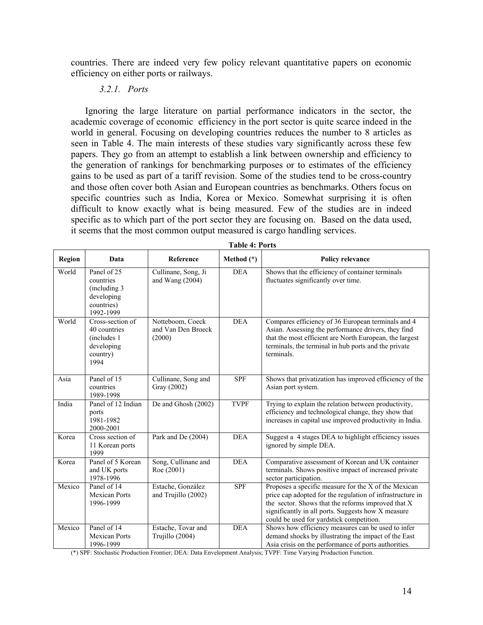countries. There are indeed very few policy relevant quantitative papers on economic efficiency on either ports or railways.

# *3.2.1. Ports*

Ignoring the large literature on partial performance indicators in the sector, the academic coverage of economic efficiency in the port sector is quite scarce indeed in the world in general. Focusing on developing countries reduces the number to 8 articles as seen in Table 4. The main interests of these studies vary significantly across these few papers. They go from an attempt to establish a link between ownership and efficiency to the generation of rankings for benchmarking purposes or to estimates of the efficiency gains to be used as part of a tariff revision. Some of the studies tend to be cross-country and those often cover both Asian and European countries as benchmarks. Others focus on specific countries such as India, Korea or Mexico. Somewhat surprising it is often difficult to know exactly what is being measured. Few of the studies are in indeed specific as to which part of the port sector they are focusing on. Based on the data used, it seems that the most common output measured is cargo handling services.

| Region | Data                                                                               | Reference                                        | Method $(*)$ | <b>Policy relevance</b>                                                                                                                                                                                                                                                   |
|--------|------------------------------------------------------------------------------------|--------------------------------------------------|--------------|---------------------------------------------------------------------------------------------------------------------------------------------------------------------------------------------------------------------------------------------------------------------------|
| World  | Panel of 25<br>countries<br>(including 3)<br>developing<br>countries)<br>1992-1999 | Cullinane, Song, Ji<br>and Wang $(2004)$         | <b>DEA</b>   | Shows that the efficiency of container terminals<br>fluctuates significantly over time.                                                                                                                                                                                   |
| World  | Cross-section of<br>40 countries<br>(includes 1)<br>developing<br>country)<br>1994 | Notteboom, Coeck<br>and Van Den Broeck<br>(2000) | <b>DEA</b>   | Compares efficiency of 36 European terminals and 4<br>Asian. Assessing the performance drivers, they find<br>that the most efficient are North European, the largest<br>terminals, the terminal in hub ports and the private<br>terminals.                                |
| Asia   | Panel of 15<br>countries<br>1989-1998                                              | Cullinane, Song and<br>Gray (2002)               | SPF          | Shows that privatization has improved efficiency of the<br>Asian port system.                                                                                                                                                                                             |
| India  | Panel of 12 Indian<br>ports<br>1981-1982<br>2000-2001                              | De and Ghosh (2002)                              | <b>TVPF</b>  | Trying to explain the relation between productivity,<br>efficiency and technological change, they show that<br>increases in capital use improved productivity in India.                                                                                                   |
| Korea  | Cross section of<br>11 Korean ports<br>1999                                        | Park and De (2004)                               | <b>DEA</b>   | Suggest a 4 stages DEA to highlight efficiency issues<br>ignored by simple DEA.                                                                                                                                                                                           |
| Korea  | Panel of 5 Korean<br>and UK ports<br>1978-1996                                     | Song, Cullinane and<br>Roe (2001)                | <b>DEA</b>   | Comparative assessment of Korean and UK container<br>terminals. Shows positive impact of increased private<br>sector participation.                                                                                                                                       |
| Mexico | Panel of 14<br><b>Mexican Ports</b><br>1996-1999                                   | Estache, González<br>and Trujillo (2002)         | <b>SPF</b>   | Proposes a specific measure for the X of the Mexican<br>price cap adopted for the regulation of infrastructure in<br>the sector. Shows that the reforms improved that X<br>significantly in all ports. Suggests how X measure<br>could be used for yardstick competition. |
| Mexico | Panel of 14<br><b>Mexican Ports</b><br>1996-1999                                   | Estache, Tovar and<br>Trujillo (2004)            | <b>DEA</b>   | Shows how efficiency measures can be used to infer<br>demand shocks by illustrating the impact of the East<br>Asia crisis on the performance of ports authorities.                                                                                                        |

**Table 4: Ports** 

(\*) SPF: Stochastic Production Frontier; DEA: Data Envelopment Analysis; TVPF: Time Varying Production Function.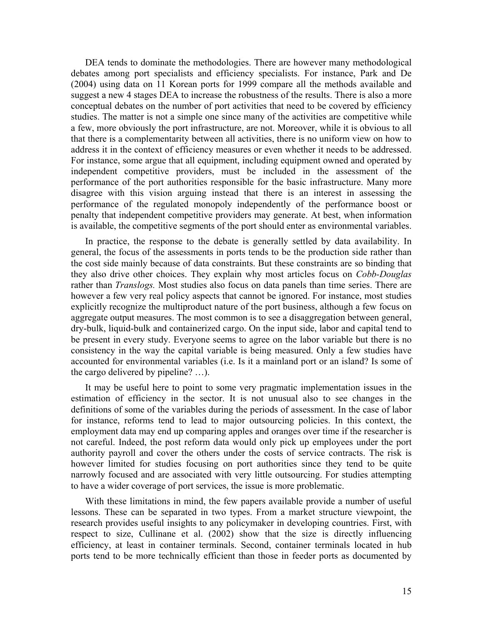DEA tends to dominate the methodologies. There are however many methodological debates among port specialists and efficiency specialists. For instance, Park and De (2004) using data on 11 Korean ports for 1999 compare all the methods available and suggest a new 4 stages DEA to increase the robustness of the results. There is also a more conceptual debates on the number of port activities that need to be covered by efficiency studies. The matter is not a simple one since many of the activities are competitive while a few, more obviously the port infrastructure, are not. Moreover, while it is obvious to all that there is a complementarity between all activities, there is no uniform view on how to address it in the context of efficiency measures or even whether it needs to be addressed. For instance, some argue that all equipment, including equipment owned and operated by independent competitive providers, must be included in the assessment of the performance of the port authorities responsible for the basic infrastructure. Many more disagree with this vision arguing instead that there is an interest in assessing the performance of the regulated monopoly independently of the performance boost or penalty that independent competitive providers may generate. At best, when information is available, the competitive segments of the port should enter as environmental variables.

In practice, the response to the debate is generally settled by data availability. In general, the focus of the assessments in ports tends to be the production side rather than the cost side mainly because of data constraints. But these constraints are so binding that they also drive other choices. They explain why most articles focus on *Cobb-Douglas*  rather than *Translogs.* Most studies also focus on data panels than time series. There are however a few very real policy aspects that cannot be ignored. For instance, most studies explicitly recognize the multiproduct nature of the port business, although a few focus on aggregate output measures. The most common is to see a disaggregation between general, dry-bulk, liquid-bulk and containerized cargo. On the input side, labor and capital tend to be present in every study. Everyone seems to agree on the labor variable but there is no consistency in the way the capital variable is being measured. Only a few studies have accounted for environmental variables (i.e. Is it a mainland port or an island? Is some of the cargo delivered by pipeline? …).

It may be useful here to point to some very pragmatic implementation issues in the estimation of efficiency in the sector. It is not unusual also to see changes in the definitions of some of the variables during the periods of assessment. In the case of labor for instance, reforms tend to lead to major outsourcing policies. In this context, the employment data may end up comparing apples and oranges over time if the researcher is not careful. Indeed, the post reform data would only pick up employees under the port authority payroll and cover the others under the costs of service contracts. The risk is however limited for studies focusing on port authorities since they tend to be quite narrowly focused and are associated with very little outsourcing. For studies attempting to have a wider coverage of port services, the issue is more problematic.

With these limitations in mind, the few papers available provide a number of useful lessons. These can be separated in two types. From a market structure viewpoint, the research provides useful insights to any policymaker in developing countries. First, with respect to size, Cullinane et al. (2002) show that the size is directly influencing efficiency, at least in container terminals. Second, container terminals located in hub ports tend to be more technically efficient than those in feeder ports as documented by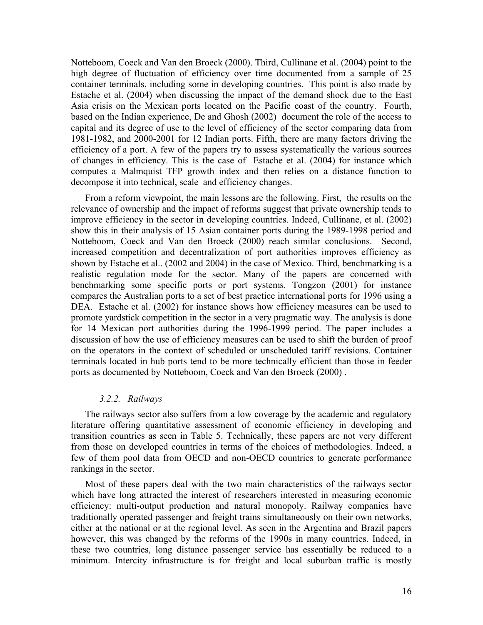Notteboom, Coeck and Van den Broeck (2000). Third, Cullinane et al. (2004) point to the high degree of fluctuation of efficiency over time documented from a sample of 25 container terminals, including some in developing countries. This point is also made by Estache et al. (2004) when discussing the impact of the demand shock due to the East Asia crisis on the Mexican ports located on the Pacific coast of the country. Fourth, based on the Indian experience, De and Ghosh (2002) document the role of the access to capital and its degree of use to the level of efficiency of the sector comparing data from 1981-1982, and 2000-2001 for 12 Indian ports. Fifth, there are many factors driving the efficiency of a port. A few of the papers try to assess systematically the various sources of changes in efficiency. This is the case of Estache et al. (2004) for instance which computes a Malmquist TFP growth index and then relies on a distance function to decompose it into technical, scale and efficiency changes.

From a reform viewpoint, the main lessons are the following. First, the results on the relevance of ownership and the impact of reforms suggest that private ownership tends to improve efficiency in the sector in developing countries. Indeed, Cullinane, et al. (2002) show this in their analysis of 15 Asian container ports during the 1989-1998 period and Notteboom, Coeck and Van den Broeck (2000) reach similar conclusions. Second, increased competition and decentralization of port authorities improves efficiency as shown by Estache et al.. (2002 and 2004) in the case of Mexico. Third, benchmarking is a realistic regulation mode for the sector. Many of the papers are concerned with benchmarking some specific ports or port systems. Tongzon (2001) for instance compares the Australian ports to a set of best practice international ports for 1996 using a DEA. Estache et al. (2002) for instance shows how efficiency measures can be used to promote yardstick competition in the sector in a very pragmatic way. The analysis is done for 14 Mexican port authorities during the 1996-1999 period. The paper includes a discussion of how the use of efficiency measures can be used to shift the burden of proof on the operators in the context of scheduled or unscheduled tariff revisions. Container terminals located in hub ports tend to be more technically efficient than those in feeder ports as documented by Notteboom, Coeck and Van den Broeck (2000) .

#### *3.2.2. Railways*

The railways sector also suffers from a low coverage by the academic and regulatory literature offering quantitative assessment of economic efficiency in developing and transition countries as seen in Table 5. Technically, these papers are not very different from those on developed countries in terms of the choices of methodologies. Indeed, a few of them pool data from OECD and non-OECD countries to generate performance rankings in the sector.

Most of these papers deal with the two main characteristics of the railways sector which have long attracted the interest of researchers interested in measuring economic efficiency: multi-output production and natural monopoly. Railway companies have traditionally operated passenger and freight trains simultaneously on their own networks, either at the national or at the regional level. As seen in the Argentina and Brazil papers however, this was changed by the reforms of the 1990s in many countries. Indeed, in these two countries, long distance passenger service has essentially be reduced to a minimum. Intercity infrastructure is for freight and local suburban traffic is mostly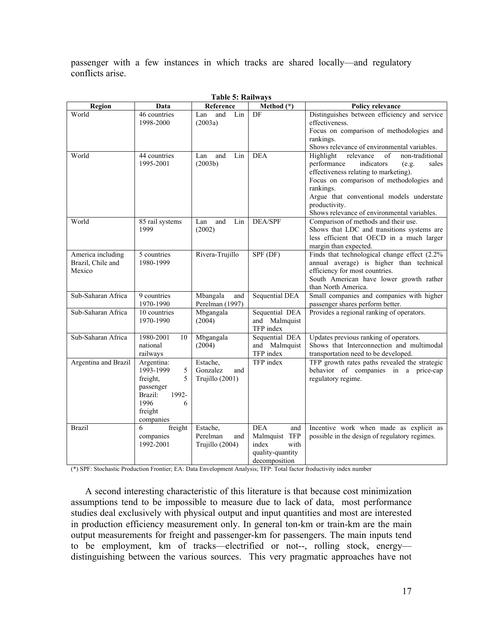passenger with a few instances in which tracks are shared locally—and regulatory conflicts arise.

| таріс ә. тапиауэ                                 |                                                                                                                     |                                                |                                                                                          |                                                                                                                                                                                                                                                                                                               |
|--------------------------------------------------|---------------------------------------------------------------------------------------------------------------------|------------------------------------------------|------------------------------------------------------------------------------------------|---------------------------------------------------------------------------------------------------------------------------------------------------------------------------------------------------------------------------------------------------------------------------------------------------------------|
| Region                                           | Data                                                                                                                | Reference                                      | Method $(*)$                                                                             | Policy relevance                                                                                                                                                                                                                                                                                              |
| World                                            | 46 countries<br>1998-2000                                                                                           | and<br>Lin<br>Lan<br>(2003a)                   | DF                                                                                       | Distinguishes between efficiency and service<br>effectiveness.<br>Focus on comparison of methodologies and<br>rankings.<br>Shows relevance of environmental variables.                                                                                                                                        |
| World                                            | 44 countries<br>1995-2001                                                                                           | and<br>Lan<br>Lin<br>(2003b)                   | <b>DEA</b>                                                                               | Highlight<br>relevance<br>non-traditional<br>of<br>performance<br>indicators<br>sales<br>(e.g.<br>effectiveness relating to marketing).<br>Focus on comparison of methodologies and<br>rankings.<br>Argue that conventional models understate<br>productivity.<br>Shows relevance of environmental variables. |
| World                                            | 85 rail systems<br>1999                                                                                             | and<br>Lan<br>Lin<br>(2002)                    | DEA/SPF                                                                                  | Comparison of methods and their use.<br>Shows that LDC and transitions systems are<br>less efficient that OECD in a much larger<br>margin than expected.                                                                                                                                                      |
| America including<br>Brazil, Chile and<br>Mexico | 5 countries<br>1980-1999                                                                                            | Rivera-Trujillo                                | $SPF$ (DF)                                                                               | Finds that technological change effect (2.2%)<br>annual average) is higher than technical<br>efficiency for most countries.<br>South American have lower growth rather<br>than North America.                                                                                                                 |
| Sub-Saharan Africa                               | 9 countries<br>1970-1990                                                                                            | Mbangala<br>and<br>Perelman (1997)             | <b>Sequential DEA</b>                                                                    | Small companies and companies with higher<br>passenger shares perform better.                                                                                                                                                                                                                                 |
| Sub-Saharan Africa                               | 10 countries<br>1970-1990                                                                                           | Mbgangala<br>(2004)                            | Sequential DEA<br>and Malmquist<br>TFP index                                             | Provides a regional ranking of operators.                                                                                                                                                                                                                                                                     |
| Sub-Saharan Africa                               | 1980-2001<br>10<br>national<br>railways                                                                             | Mbgangala<br>(2004)                            | Sequential DEA<br>and Malmquist<br>TFP index                                             | Updates previous ranking of operators.<br>Shows that Interconnection and multimodal<br>transportation need to be developed.                                                                                                                                                                                   |
| Argentina and Brazil                             | Argentina:<br>1993-1999<br>5<br>freight,<br>5<br>passenger<br>Brazil:<br>1992-<br>1996<br>6<br>freight<br>companies | Estache,<br>Gonzalez<br>and<br>Trujillo (2001) | TFP index                                                                                | TFP growth rates paths revealed the strategic<br>behavior of companies in a price-cap<br>regulatory regime.                                                                                                                                                                                                   |
| <b>Brazil</b>                                    | 6<br>freight<br>companies<br>1992-2001                                                                              | Estache,<br>Perelman<br>and<br>Trujillo (2004) | <b>DEA</b><br>and<br>Malmquist TFP<br>index<br>with<br>quality-quantity<br>decomposition | Incentive work when made as explicit as<br>possible in the design of regulatory regimes.                                                                                                                                                                                                                      |

|  |  | Table 5: Railways |
|--|--|-------------------|
|--|--|-------------------|

(\*) SPF: Stochastic Production Frontier; EA: Data Envelopment Analysis; TFP: Total factor froductivity index number

A second interesting characteristic of this literature is that because cost minimization assumptions tend to be impossible to measure due to lack of data, most performance studies deal exclusively with physical output and input quantities and most are interested in production efficiency measurement only. In general ton-km or train-km are the main output measurements for freight and passenger-km for passengers. The main inputs tend to be employment, km of tracks—electrified or not--, rolling stock, energy distinguishing between the various sources. This very pragmatic approaches have not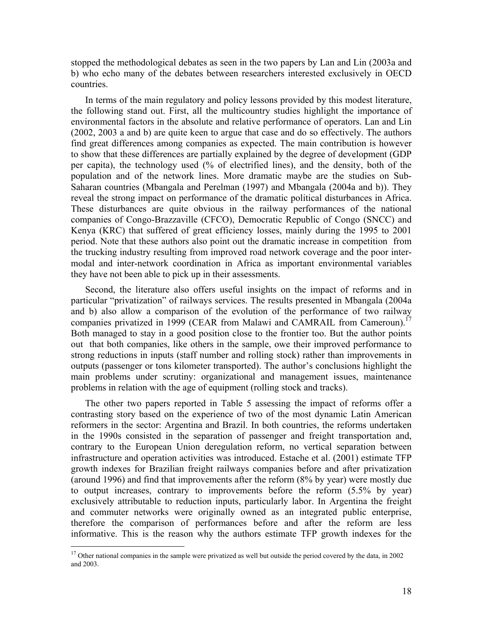stopped the methodological debates as seen in the two papers by Lan and Lin (2003a and b) who echo many of the debates between researchers interested exclusively in OECD countries.

In terms of the main regulatory and policy lessons provided by this modest literature, the following stand out. First, all the multicountry studies highlight the importance of environmental factors in the absolute and relative performance of operators. Lan and Lin (2002, 2003 a and b) are quite keen to argue that case and do so effectively. The authors find great differences among companies as expected. The main contribution is however to show that these differences are partially explained by the degree of development (GDP per capita), the technology used (% of electrified lines), and the density, both of the population and of the network lines. More dramatic maybe are the studies on Sub-Saharan countries (Mbangala and Perelman (1997) and Mbangala (2004a and b)). They reveal the strong impact on performance of the dramatic political disturbances in Africa. These disturbances are quite obvious in the railway performances of the national companies of Congo-Brazzaville (CFCO), Democratic Republic of Congo (SNCC) and Kenya (KRC) that suffered of great efficiency losses, mainly during the 1995 to 2001 period. Note that these authors also point out the dramatic increase in competition from the trucking industry resulting from improved road network coverage and the poor intermodal and inter-network coordination in Africa as important environmental variables they have not been able to pick up in their assessments.

Second, the literature also offers useful insights on the impact of reforms and in particular "privatization" of railways services. The results presented in Mbangala (2004a and b) also allow a comparison of the evolution of the performance of two railway companies privatized in 1999 (CEAR from Malawi and CAMRAIL from Cameroun).<sup>17</sup> Both managed to stay in a good position close to the frontier too. But the author points out that both companies, like others in the sample, owe their improved performance to strong reductions in inputs (staff number and rolling stock) rather than improvements in outputs (passenger or tons kilometer transported). The author's conclusions highlight the main problems under scrutiny: organizational and management issues, maintenance problems in relation with the age of equipment (rolling stock and tracks).

The other two papers reported in Table 5 assessing the impact of reforms offer a contrasting story based on the experience of two of the most dynamic Latin American reformers in the sector: Argentina and Brazil. In both countries, the reforms undertaken in the 1990s consisted in the separation of passenger and freight transportation and, contrary to the European Union deregulation reform, no vertical separation between infrastructure and operation activities was introduced. Estache et al. (2001) estimate TFP growth indexes for Brazilian freight railways companies before and after privatization (around 1996) and find that improvements after the reform (8% by year) were mostly due to output increases, contrary to improvements before the reform (5.5% by year) exclusively attributable to reduction inputs, particularly labor. In Argentina the freight and commuter networks were originally owned as an integrated public enterprise, therefore the comparison of performances before and after the reform are less informative. This is the reason why the authors estimate TFP growth indexes for the

1

 $17$  Other national companies in the sample were privatized as well but outside the period covered by the data, in 2002 and 2003.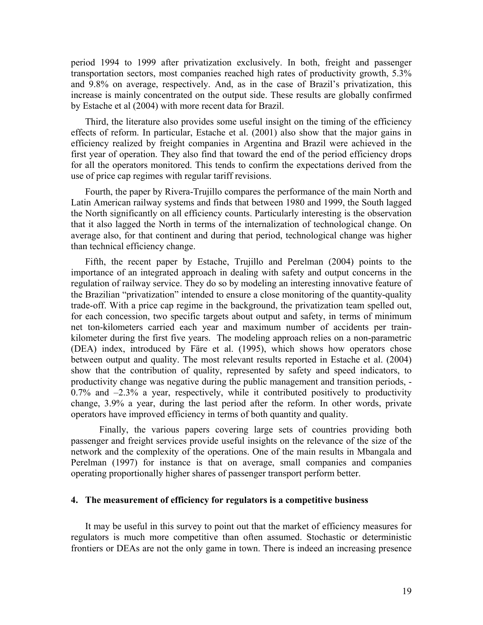period 1994 to 1999 after privatization exclusively. In both, freight and passenger transportation sectors, most companies reached high rates of productivity growth, 5.3% and 9.8% on average, respectively. And, as in the case of Brazil's privatization, this increase is mainly concentrated on the output side. These results are globally confirmed by Estache et al (2004) with more recent data for Brazil.

Third, the literature also provides some useful insight on the timing of the efficiency effects of reform. In particular, Estache et al. (2001) also show that the major gains in efficiency realized by freight companies in Argentina and Brazil were achieved in the first year of operation. They also find that toward the end of the period efficiency drops for all the operators monitored. This tends to confirm the expectations derived from the use of price cap regimes with regular tariff revisions.

Fourth, the paper by Rivera-Trujillo compares the performance of the main North and Latin American railway systems and finds that between 1980 and 1999, the South lagged the North significantly on all efficiency counts. Particularly interesting is the observation that it also lagged the North in terms of the internalization of technological change. On average also, for that continent and during that period, technological change was higher than technical efficiency change.

Fifth, the recent paper by Estache, Trujillo and Perelman (2004) points to the importance of an integrated approach in dealing with safety and output concerns in the regulation of railway service. They do so by modeling an interesting innovative feature of the Brazilian "privatization" intended to ensure a close monitoring of the quantity-quality trade-off. With a price cap regime in the background, the privatization team spelled out, for each concession, two specific targets about output and safety, in terms of minimum net ton-kilometers carried each year and maximum number of accidents per trainkilometer during the first five years. The modeling approach relies on a non-parametric (DEA) index, introduced by Färe et al. (1995), which shows how operators chose between output and quality. The most relevant results reported in Estache et al. (2004) show that the contribution of quality, represented by safety and speed indicators, to productivity change was negative during the public management and transition periods, - 0.7% and –2.3% a year, respectively, while it contributed positively to productivity change, 3.9% a year, during the last period after the reform. In other words, private operators have improved efficiency in terms of both quantity and quality.

Finally, the various papers covering large sets of countries providing both passenger and freight services provide useful insights on the relevance of the size of the network and the complexity of the operations. One of the main results in Mbangala and Perelman (1997) for instance is that on average, small companies and companies operating proportionally higher shares of passenger transport perform better.

## **4. The measurement of efficiency for regulators is a competitive business**

It may be useful in this survey to point out that the market of efficiency measures for regulators is much more competitive than often assumed. Stochastic or deterministic frontiers or DEAs are not the only game in town. There is indeed an increasing presence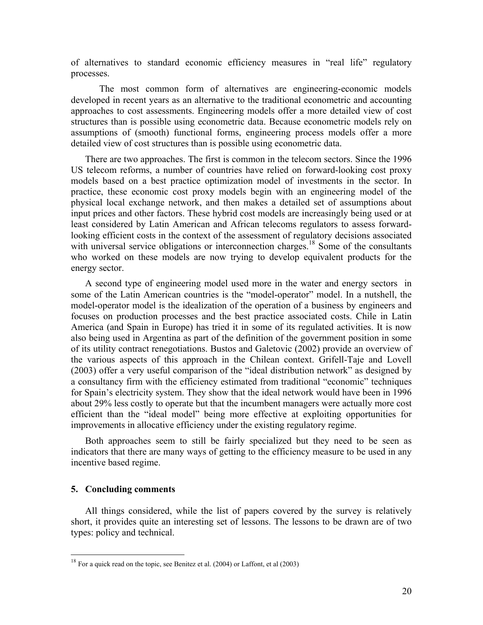of alternatives to standard economic efficiency measures in "real life" regulatory processes.

The most common form of alternatives are engineering-economic models developed in recent years as an alternative to the traditional econometric and accounting approaches to cost assessments. Engineering models offer a more detailed view of cost structures than is possible using econometric data. Because econometric models rely on assumptions of (smooth) functional forms, engineering process models offer a more detailed view of cost structures than is possible using econometric data.

There are two approaches. The first is common in the telecom sectors. Since the 1996 US telecom reforms, a number of countries have relied on forward-looking cost proxy models based on a best practice optimization model of investments in the sector. In practice, these economic cost proxy models begin with an engineering model of the physical local exchange network, and then makes a detailed set of assumptions about input prices and other factors. These hybrid cost models are increasingly being used or at least considered by Latin American and African telecoms regulators to assess forwardlooking efficient costs in the context of the assessment of regulatory decisions associated with universal service obligations or interconnection charges.<sup>18</sup> Some of the consultants who worked on these models are now trying to develop equivalent products for the energy sector.

A second type of engineering model used more in the water and energy sectors in some of the Latin American countries is the "model-operator" model. In a nutshell, the model-operator model is the idealization of the operation of a business by engineers and focuses on production processes and the best practice associated costs. Chile in Latin America (and Spain in Europe) has tried it in some of its regulated activities. It is now also being used in Argentina as part of the definition of the government position in some of its utility contract renegotiations. Bustos and Galetovic (2002) provide an overview of the various aspects of this approach in the Chilean context. Grifell-Taje and Lovell (2003) offer a very useful comparison of the "ideal distribution network" as designed by a consultancy firm with the efficiency estimated from traditional "economic" techniques for Spain's electricity system. They show that the ideal network would have been in 1996 about 29% less costly to operate but that the incumbent managers were actually more cost efficient than the "ideal model" being more effective at exploiting opportunities for improvements in allocative efficiency under the existing regulatory regime.

Both approaches seem to still be fairly specialized but they need to be seen as indicators that there are many ways of getting to the efficiency measure to be used in any incentive based regime.

## **5. Concluding comments**

 $\overline{a}$ 

All things considered, while the list of papers covered by the survey is relatively short, it provides quite an interesting set of lessons. The lessons to be drawn are of two types: policy and technical.

<sup>&</sup>lt;sup>18</sup> For a quick read on the topic, see Benitez et al. (2004) or Laffont, et al (2003)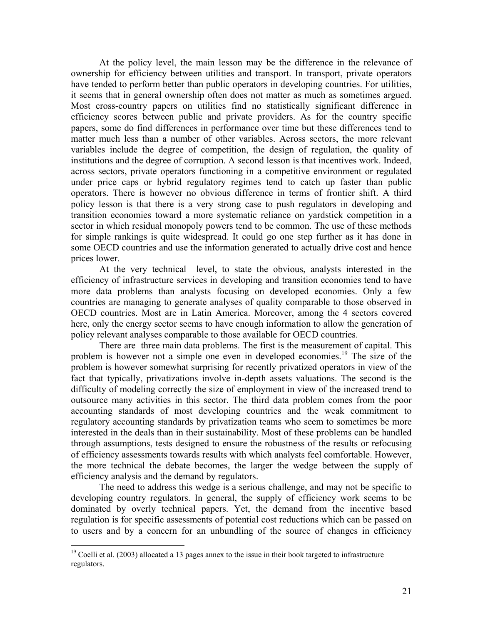At the policy level, the main lesson may be the difference in the relevance of ownership for efficiency between utilities and transport. In transport, private operators have tended to perform better than public operators in developing countries. For utilities, it seems that in general ownership often does not matter as much as sometimes argued. Most cross-country papers on utilities find no statistically significant difference in efficiency scores between public and private providers. As for the country specific papers, some do find differences in performance over time but these differences tend to matter much less than a number of other variables. Across sectors, the more relevant variables include the degree of competition, the design of regulation, the quality of institutions and the degree of corruption. A second lesson is that incentives work. Indeed, across sectors, private operators functioning in a competitive environment or regulated under price caps or hybrid regulatory regimes tend to catch up faster than public operators. There is however no obvious difference in terms of frontier shift. A third policy lesson is that there is a very strong case to push regulators in developing and transition economies toward a more systematic reliance on yardstick competition in a sector in which residual monopoly powers tend to be common. The use of these methods for simple rankings is quite widespread. It could go one step further as it has done in some OECD countries and use the information generated to actually drive cost and hence prices lower.

 At the very technical level, to state the obvious, analysts interested in the efficiency of infrastructure services in developing and transition economies tend to have more data problems than analysts focusing on developed economies. Only a few countries are managing to generate analyses of quality comparable to those observed in OECD countries. Most are in Latin America. Moreover, among the 4 sectors covered here, only the energy sector seems to have enough information to allow the generation of policy relevant analyses comparable to those available for OECD countries.

 There are three main data problems. The first is the measurement of capital. This problem is however not a simple one even in developed economies.<sup>19</sup> The size of the problem is however somewhat surprising for recently privatized operators in view of the fact that typically, privatizations involve in-depth assets valuations. The second is the difficulty of modeling correctly the size of employment in view of the increased trend to outsource many activities in this sector. The third data problem comes from the poor accounting standards of most developing countries and the weak commitment to regulatory accounting standards by privatization teams who seem to sometimes be more interested in the deals than in their sustainability. Most of these problems can be handled through assumptions, tests designed to ensure the robustness of the results or refocusing of efficiency assessments towards results with which analysts feel comfortable. However, the more technical the debate becomes, the larger the wedge between the supply of efficiency analysis and the demand by regulators.

The need to address this wedge is a serious challenge, and may not be specific to developing country regulators. In general, the supply of efficiency work seems to be dominated by overly technical papers. Yet, the demand from the incentive based regulation is for specific assessments of potential cost reductions which can be passed on to users and by a concern for an unbundling of the source of changes in efficiency

1

 $19$  Coelli et al. (2003) allocated a 13 pages annex to the issue in their book targeted to infrastructure regulators.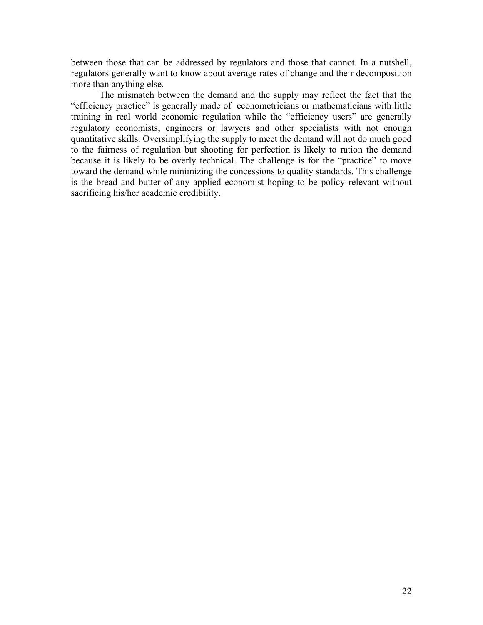between those that can be addressed by regulators and those that cannot. In a nutshell, regulators generally want to know about average rates of change and their decomposition more than anything else.

The mismatch between the demand and the supply may reflect the fact that the "efficiency practice" is generally made of econometricians or mathematicians with little training in real world economic regulation while the "efficiency users" are generally regulatory economists, engineers or lawyers and other specialists with not enough quantitative skills. Oversimplifying the supply to meet the demand will not do much good to the fairness of regulation but shooting for perfection is likely to ration the demand because it is likely to be overly technical. The challenge is for the "practice" to move toward the demand while minimizing the concessions to quality standards. This challenge is the bread and butter of any applied economist hoping to be policy relevant without sacrificing his/her academic credibility.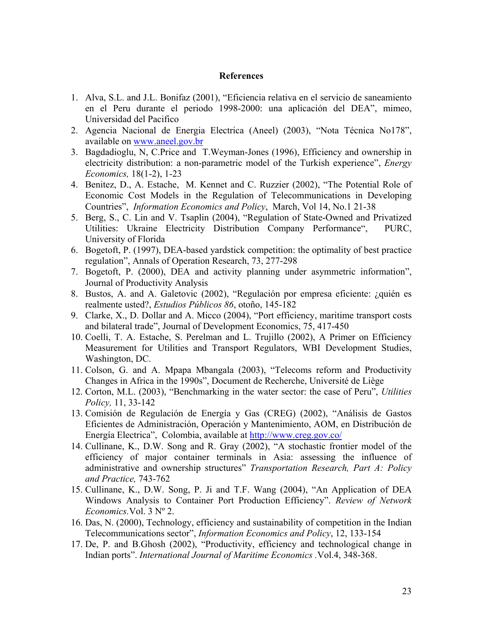## **References**

- 1. Alva, S.L. and J.L. Bonifaz (2001), "Eficiencia relativa en el servicio de saneamiento en el Peru durante el periodo 1998-2000: una aplicación del DEA", mimeo, Universidad del Pacifico
- 2. Agencia Nacional de Energia Electrica (Aneel) (2003), "Nota Técnica No178", available on www.aneel.gov.br
- 3. Bagdadioglu, N, C.Price and T.Weyman-Jones (1996), Efficiency and ownership in electricity distribution: a non-parametric model of the Turkish experience", *Energy Economics,* 18(1-2), 1-23
- 4. Benitez, D., A. Estache, M. Kennet and C. Ruzzier (2002), "The Potential Role of Economic Cost Models in the Regulation of Telecommunications in Developing Countries", *Information Economics and Policy*, March, Vol 14, No.1 21-38
- 5. Berg, S., C. Lin and V. Tsaplin (2004), "Regulation of State-Owned and Privatized Utilities: Ukraine Electricity Distribution Company Performance", PURC, University of Florida
- 6. Bogetoft, P. (1997), DEA-based yardstick competition: the optimality of best practice regulation", Annals of Operation Research, 73, 277-298
- 7. Bogetoft, P. (2000), DEA and activity planning under asymmetric information", Journal of Productivity Analysis
- 8. Bustos, A. and A. Galetovic (2002), "Regulación por empresa eficiente: ¿quién es realmente usted?, *Estudios Públicos 86*, otoño, 145-182
- 9. Clarke, X., D. Dollar and A. Micco (2004), "Port efficiency, maritime transport costs and bilateral trade", Journal of Development Economics, 75, 417-450
- 10. Coelli, T. A. Estache, S. Perelman and L. Trujillo (2002), A Primer on Efficiency Measurement for Utilities and Transport Regulators, WBI Development Studies, Washington, DC.
- 11. Colson, G. and A. Mpapa Mbangala (2003), "Telecoms reform and Productivity Changes in Africa in the 1990s", Document de Recherche, Université de Liège
- 12. Corton, M.L. (2003), "Benchmarking in the water sector: the case of Peru", *Utilities Policy,* 11, 33-142
- 13. Comisión de Regulación de Energía y Gas (CREG) (2002), "Análisis de Gastos Eficientes de Administración, Operación y Mantenimiento, AOM, en Distribución de Energía Electrica", Colombia, available at http://www.creg.gov.co/
- 14. Cullinane, K., D.W. Song and R. Gray (2002), "A stochastic frontier model of the efficiency of major container terminals in Asia: assessing the influence of administrative and ownership structures" *Transportation Research, Part A: Policy and Practice,* 743-762
- 15. Cullinane, K., D.W. Song, P. Ji and T.F. Wang (2004), "An Application of DEA Windows Analysis to Container Port Production Efficiency". *Review of Network Economics.*Vol. 3 Nº 2.
- 16. Das, N. (2000), Technology, efficiency and sustainability of competition in the Indian Telecommunications sector", *Information Economics and Policy*, 12, 133-154
- 17. De, P. and B.Ghosh (2002), "Productivity, efficiency and technological change in Indian ports". *International Journal of Maritime Economics .*Vol.4, 348-368.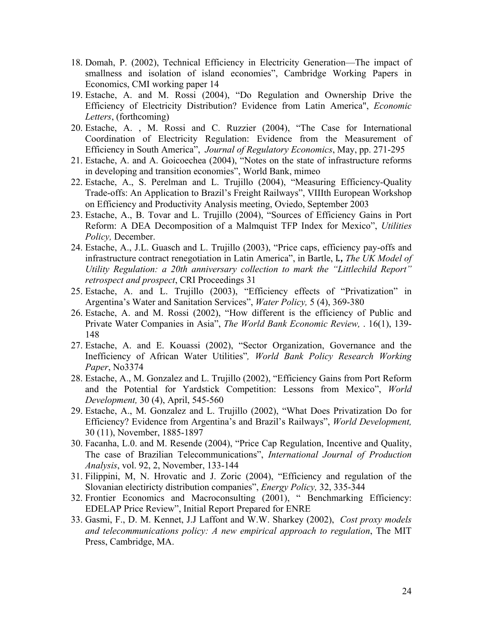- 18. Domah, P. (2002), Technical Efficiency in Electricity Generation—The impact of smallness and isolation of island economies", Cambridge Working Papers in Economics, CMI working paper 14
- 19. Estache, A. and M. Rossi (2004), "Do Regulation and Ownership Drive the Efficiency of Electricity Distribution? Evidence from Latin America", *Economic Letters*, (forthcoming)
- 20. Estache, A. , M. Rossi and C. Ruzzier (2004), "The Case for International Coordination of Electricity Regulation: Evidence from the Measurement of Efficiency in South America", *Journal of Regulatory Economics*, May, pp. 271-295
- 21. Estache, A. and A. Goicoechea (2004), "Notes on the state of infrastructure reforms in developing and transition economies", World Bank, mimeo
- 22. Estache, A., S. Perelman and L. Trujillo (2004), "Measuring Efficiency-Quality Trade-offs: An Application to Brazil's Freight Railways", VIIIth European Workshop on Efficiency and Productivity Analysis meeting, Oviedo, September 2003
- 23. Estache, A., B. Tovar and L. Trujillo (2004), "Sources of Efficiency Gains in Port Reform: A DEA Decomposition of a Malmquist TFP Index for Mexico", *Utilities Policy,* December.
- 24. Estache, A., J.L. Guasch and L. Trujillo (2003), "Price caps, efficiency pay-offs and infrastructure contract renegotiation in Latin America", in Bartle, I*., The UK Model of Utility Regulation: a 20th anniversary collection to mark the "Littlechild Report" retrospect and prospect*, CRI Proceedings 31
- 25. Estache, A. and L. Trujillo (2003), "Efficiency effects of "Privatization" in Argentina's Water and Sanitation Services", *Water Policy,* 5 (4), 369-380
- 26. Estache, A. and M. Rossi (2002), "How different is the efficiency of Public and Private Water Companies in Asia", *The World Bank Economic Review,* . 16(1), 139- 148
- 27. Estache, A. and E. Kouassi (2002), "Sector Organization, Governance and the Inefficiency of African Water Utilities"*, World Bank Policy Research Working Paper*, No3374
- 28. Estache, A., M. Gonzalez and L. Trujillo (2002), "Efficiency Gains from Port Reform and the Potential for Yardstick Competition: Lessons from Mexico", *World Development,* 30 (4), April, 545-560
- 29. Estache, A., M. Gonzalez and L. Trujillo (2002), "What Does Privatization Do for Efficiency? Evidence from Argentina's and Brazil's Railways", *World Development,* 30 (11), November, 1885-1897
- 30. Facanha, L.0. and M. Resende (2004), "Price Cap Regulation, Incentive and Quality, The case of Brazilian Telecommunications", *International Journal of Production Analysis*, vol. 92, 2, November, 133-144
- 31. Filippini, M, N. Hrovatic and J. Zoric (2004), "Efficiency and regulation of the Slovanian electiricty distribution companies", *Energy Policy,* 32, 335-344
- 32. Frontier Economics and Macroconsulting (2001), " Benchmarking Efficiency: EDELAP Price Review", Initial Report Prepared for ENRE
- 33. Gasmi, F., D. M. Kennet, J.J Laffont and W.W. Sharkey (2002), *Cost proxy models and telecommunications policy: A new empirical approach to regulation*, The MIT Press, Cambridge, MA.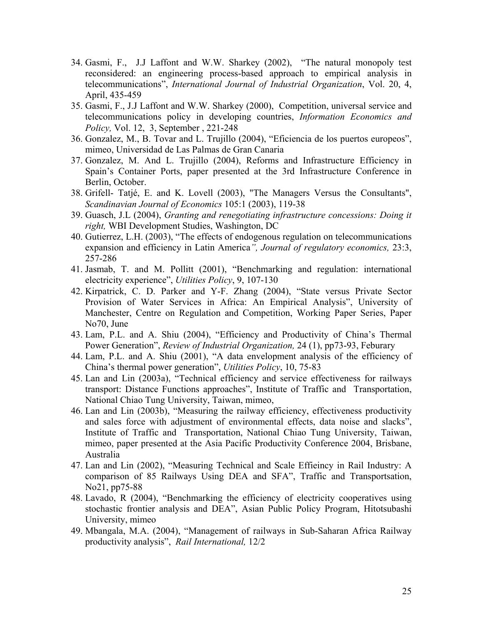- 34. Gasmi, F., J.J Laffont and W.W. Sharkey (2002), "The natural monopoly test reconsidered: an engineering process-based approach to empirical analysis in telecommunications", *International Journal of Industrial Organization*, Vol. 20, 4, April, 435-459
- 35. Gasmi, F., J.J Laffont and W.W. Sharkey (2000), Competition, universal service and telecommunications policy in developing countries, *Information Economics and Policy,* Vol. 12, 3, September , 221-248
- 36. Gonzalez, M., B. Tovar and L. Trujillo (2004), "Eficiencia de los puertos europeos", mimeo, Universidad de Las Palmas de Gran Canaria
- 37. Gonzalez, M. And L. Trujillo (2004), Reforms and Infrastructure Efficiency in Spain's Container Ports, paper presented at the 3rd Infrastructure Conference in Berlin, October.
- 38. Grifell- Tatjé, E. and K. Lovell (2003), "The Managers Versus the Consultants", *Scandinavian Journal of Economics* 105:1 (2003), 119-38
- 39. Guasch, J.L (2004), *Granting and renegotiating infrastructure concessions: Doing it right,* WBI Development Studies, Washington, DC
- 40. Gutierrez, L.H. (2003), "The effects of endogenous regulation on telecommunications expansion and efficiency in Latin America*", Journal of regulatory economics,* 23:3, 257-286
- 41. Jasmab, T. and M. Pollitt (2001), "Benchmarking and regulation: international electricity experience", *Utilities Policy*, 9, 107-130
- 42. Kirpatrick, C. D. Parker and Y-F. Zhang (2004), "State versus Private Sector Provision of Water Services in Africa: An Empirical Analysis", University of Manchester, Centre on Regulation and Competition, Working Paper Series, Paper No70, June
- 43. Lam, P.L. and A. Shiu (2004), "Efficiency and Productivity of China's Thermal Power Generation", *Review of Industrial Organization,* 24 (1), pp73-93, Feburary
- 44. Lam, P.L. and A. Shiu (2001), "A data envelopment analysis of the efficiency of China's thermal power generation", *Utilities Policy*, 10, 75-83
- 45. Lan and Lin (2003a), "Technical efficiency and service effectiveness for railways transport: Distance Functions approaches", Institute of Traffic and Transportation, National Chiao Tung University, Taiwan, mimeo,
- 46. Lan and Lin (2003b), "Measuring the railway efficiency, effectiveness productivity and sales force with adjustment of environmental effects, data noise and slacks", Institute of Traffic and Transportation, National Chiao Tung University, Taiwan, mimeo, paper presented at the Asia Pacific Productivity Conference 2004, Brisbane, Australia
- 47. Lan and Lin (2002), "Measuring Technical and Scale Effieincy in Rail Industry: A comparison of 85 Railways Using DEA and SFA", Traffic and Transportsation, No21, pp75-88
- 48. Lavado, R (2004), "Benchmarking the efficiency of electricity cooperatives using stochastic frontier analysis and DEA", Asian Public Policy Program, Hitotsubashi University, mimeo
- 49. Mbangala, M.A. (2004), "Management of railways in Sub-Saharan Africa Railway productivity analysis", *Rail International,* 12/2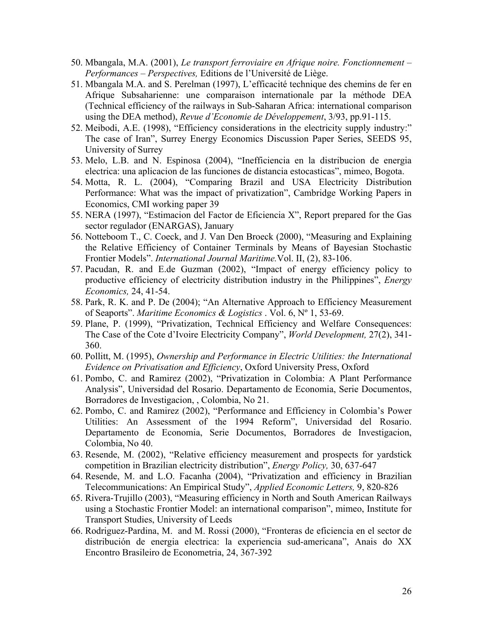- 50. Mbangala, M.A. (2001), *Le transport ferroviaire en Afrique noire. Fonctionnement Performances – Perspectives,* Editions de l'Université de Liège.
- 51. Mbangala M.A. and S. Perelman (1997), L'efficacité technique des chemins de fer en Afrique Subsaharienne: une comparaison internationale par la méthode DEA (Technical efficiency of the railways in Sub-Saharan Africa: international comparison using the DEA method), *Revue d'Economie de Développement*, 3/93, pp.91-115.
- 52. Meibodi, A.E. (1998), "Efficiency considerations in the electricity supply industry:" The case of Iran", Surrey Energy Economics Discussion Paper Series, SEEDS 95, University of Surrey
- 53. Melo, L.B. and N. Espinosa (2004), "Inefficiencia en la distribucion de energia electrica: una aplicacion de las funciones de distancia estocasticas", mimeo, Bogota.
- 54. Motta, R. L. (2004), "Comparing Brazil and USA Electricity Distribution Performance: What was the impact of privatization", Cambridge Working Papers in Economics, CMI working paper 39
- 55. NERA (1997), "Estimacion del Factor de Eficiencia X", Report prepared for the Gas sector regulador (ENARGAS), January
- 56. Notteboom T., C. Coeck, and J. Van Den Broeck (2000), "Measuring and Explaining the Relative Efficiency of Container Terminals by Means of Bayesian Stochastic Frontier Models". *International Journal Maritime.*Vol. II, (2), 83-106.
- 57. Pacudan, R. and E.de Guzman (2002), "Impact of energy efficiency policy to productive efficiency of electricity distribution industry in the Philippines", *Energy Economics,* 24, 41-54.
- 58. Park, R. K. and P. De (2004); "An Alternative Approach to Efficiency Measurement of Seaports". *Maritime Economics & Logistics* . Vol. 6, Nº 1, 53-69.
- 59. Plane, P. (1999), "Privatization, Technical Efficiency and Welfare Consequences: The Case of the Cote d'Ivoire Electricity Company", *World Development,* 27(2), 341- 360.
- 60. Pollitt, M. (1995), *Ownership and Performance in Electric Utilities: the International Evidence on Privatisation and Efficiency*, Oxford University Press, Oxford
- 61. Pombo, C. and Ramirez (2002), "Privatization in Colombia: A Plant Performance Analysis", Universidad del Rosario. Departamento de Economia, Serie Documentos, Borradores de Investigacion, , Colombia, No 21.
- 62. Pombo, C. and Ramirez (2002), "Performance and Efficiency in Colombia's Power Utilities: An Assessment of the 1994 Reform", Universidad del Rosario. Departamento de Economia, Serie Documentos, Borradores de Investigacion, Colombia, No 40.
- 63. Resende, M. (2002), "Relative efficiency measurement and prospects for yardstick competition in Brazilian electricity distribution", *Energy Policy,* 30, 637-647
- 64. Resende, M. and L.O. Facanha (2004), "Privatization and efficiency in Brazilian Telecommunications: An Empirical Study", *Applied Economic Letters,* 9, 820-826
- 65. Rivera-Trujillo (2003), "Measuring efficiency in North and South American Railways using a Stochastic Frontier Model: an international comparison", mimeo, Institute for Transport Studies, University of Leeds
- 66. Rodriguez-Pardina, M. and M. Rossi (2000), "Fronteras de eficiencia en el sector de distribución de energia electrica: la experiencia sud-americana", Anais do XX Encontro Brasileiro de Econometria, 24, 367-392